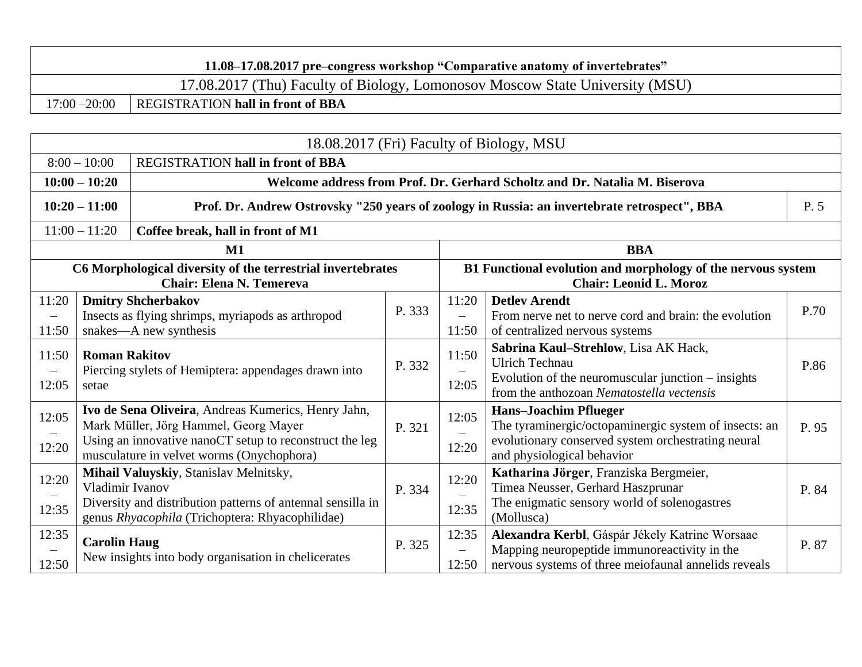|                 | 11.08–17.08.2017 pre-congress workshop "Comparative anatomy of invertebrates" |  |  |  |  |  |
|-----------------|-------------------------------------------------------------------------------|--|--|--|--|--|
|                 | 17.08.2017 (Thu) Faculty of Biology, Lomonosov Moscow State University (MSU)  |  |  |  |  |  |
| $17:00 - 20:00$ | <b>REGISTRATION hall in front of BBA</b>                                      |  |  |  |  |  |

|                                     | 18.08.2017 (Fri) Faculty of Biology, MSU |                                                                                                                                                                                                      |        |                            |                                                                                                                                                                           |       |  |  |
|-------------------------------------|------------------------------------------|------------------------------------------------------------------------------------------------------------------------------------------------------------------------------------------------------|--------|----------------------------|---------------------------------------------------------------------------------------------------------------------------------------------------------------------------|-------|--|--|
|                                     | $8:00 - 10:00$                           | <b>REGISTRATION hall in front of BBA</b>                                                                                                                                                             |        |                            |                                                                                                                                                                           |       |  |  |
|                                     | $10:00 - 10:20$                          |                                                                                                                                                                                                      |        |                            | Welcome address from Prof. Dr. Gerhard Scholtz and Dr. Natalia M. Biserova                                                                                                |       |  |  |
| $10:20 - 11:00$                     |                                          |                                                                                                                                                                                                      |        |                            | Prof. Dr. Andrew Ostrovsky "250 years of zoology in Russia: an invertebrate retrospect", BBA                                                                              | P. 5  |  |  |
|                                     | $11:00 - 11:20$                          | Coffee break, hall in front of M1                                                                                                                                                                    |        |                            |                                                                                                                                                                           |       |  |  |
|                                     |                                          | M1                                                                                                                                                                                                   |        |                            | <b>BBA</b>                                                                                                                                                                |       |  |  |
|                                     |                                          | C6 Morphological diversity of the terrestrial invertebrates<br><b>Chair: Elena N. Temereva</b>                                                                                                       |        |                            | B1 Functional evolution and morphology of the nervous system<br><b>Chair: Leonid L. Moroz</b>                                                                             |       |  |  |
| 11:20<br>$\qquad \qquad -$<br>11:50 |                                          | <b>Dmitry Shcherbakov</b><br>Insects as flying shrimps, myriapods as arthropod<br>snakes-A new synthesis                                                                                             | P. 333 | 11:20<br>$\equiv$<br>11:50 | <b>Detley Arendt</b><br>From nerve net to nerve cord and brain: the evolution<br>of centralized nervous systems                                                           | P.70  |  |  |
| 11:50<br>$\qquad \qquad -$<br>12:05 | <b>Roman Rakitov</b><br>setae            | Piercing stylets of Hemiptera: appendages drawn into                                                                                                                                                 | P. 332 | 11:50<br>12:05             | Sabrina Kaul-Strehlow, Lisa AK Hack,<br><b>Ulrich Technau</b><br>Evolution of the neuromuscular junction – insights<br>from the anthozoan Nematostella vectensis          | P.86  |  |  |
| 12:05<br>12:20                      |                                          | Ivo de Sena Oliveira, Andreas Kumerics, Henry Jahn,<br>Mark Müller, Jörg Hammel, Georg Mayer<br>Using an innovative nanoCT setup to reconstruct the leg<br>musculature in velvet worms (Onychophora) | P. 321 | 12:05<br>12:20             | <b>Hans-Joachim Pflueger</b><br>The tyraminergic/octopaminergic system of insects: an<br>evolutionary conserved system orchestrating neural<br>and physiological behavior | P. 95 |  |  |
| 12:20<br>12:35                      | Vladimir Ivanov                          | Mihail Valuyskiy, Stanislav Melnitsky,<br>Diversity and distribution patterns of antennal sensilla in<br>genus Rhyacophila (Trichoptera: Rhyacophilidae)                                             | P. 334 | 12:20<br>12:35             | Katharina Jörger, Franziska Bergmeier,<br>Timea Neusser, Gerhard Haszprunar<br>The enigmatic sensory world of solenogastres<br>(Mollusca)                                 | P. 84 |  |  |
| 12:35<br>12:50                      | <b>Carolin Haug</b>                      | New insights into body organisation in chelicerates                                                                                                                                                  | P. 325 | 12:35<br>$\equiv$<br>12:50 | Alexandra Kerbl, Gáspár Jékely Katrine Worsaae<br>Mapping neuropeptide immunoreactivity in the<br>nervous systems of three meiofaunal annelids reveals                    | P. 87 |  |  |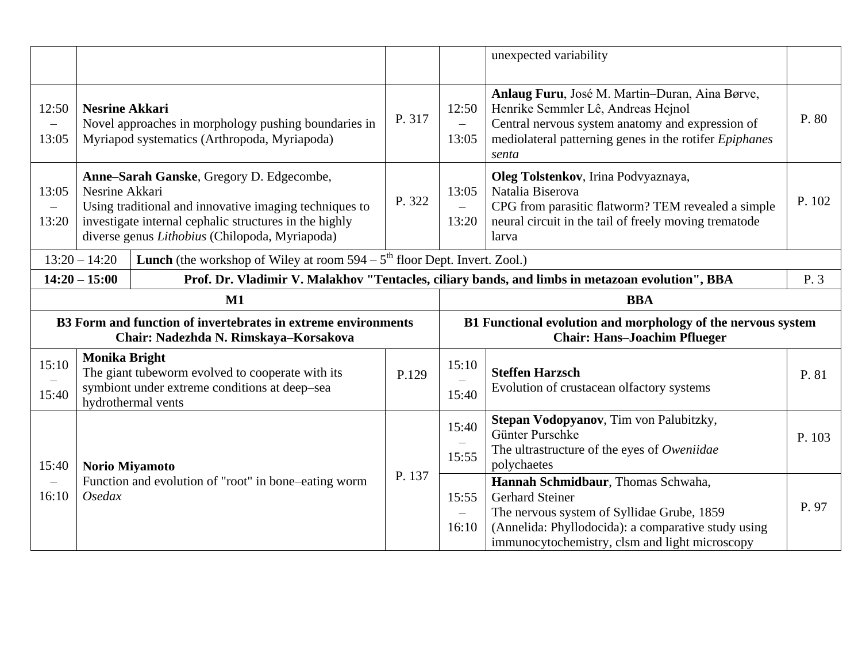|                                            |                                                                                                       |                                                                                                                                                                                                                |        |                                            | unexpected variability                                                                                                                                                                                      |        |
|--------------------------------------------|-------------------------------------------------------------------------------------------------------|----------------------------------------------------------------------------------------------------------------------------------------------------------------------------------------------------------------|--------|--------------------------------------------|-------------------------------------------------------------------------------------------------------------------------------------------------------------------------------------------------------------|--------|
| 12:50<br>13:05                             | <b>Nesrine Akkari</b>                                                                                 | Novel approaches in morphology pushing boundaries in<br>Myriapod systematics (Arthropoda, Myriapoda)                                                                                                           | P. 317 | 12:50<br>$=$<br>13:05                      | Anlaug Furu, José M. Martin-Duran, Aina Børve,<br>Henrike Semmler Lê, Andreas Hejnol<br>Central nervous system anatomy and expression of<br>mediolateral patterning genes in the rotifer Epiphanes<br>senta | P. 80  |
| 13:05<br>$\overline{\phantom{0}}$<br>13:20 | Nesrine Akkari                                                                                        | Anne-Sarah Ganske, Gregory D. Edgecombe,<br>Using traditional and innovative imaging techniques to<br>investigate internal cephalic structures in the highly<br>diverse genus Lithobius (Chilopoda, Myriapoda) | P. 322 | 13:05<br>$\equiv$<br>13:20                 | Oleg Tolstenkov, Irina Podvyaznaya,<br>Natalia Biserova<br>CPG from parasitic flatworm? TEM revealed a simple<br>neural circuit in the tail of freely moving trematode<br>larva                             | P. 102 |
|                                            | <b>Lunch</b> (the workshop of Wiley at room $594 - 5th$ floor Dept. Invert. Zool.)<br>$13:20 - 14:20$ |                                                                                                                                                                                                                |        |                                            |                                                                                                                                                                                                             |        |
|                                            | $14:20 - 15:00$                                                                                       |                                                                                                                                                                                                                |        |                                            | Prof. Dr. Vladimir V. Malakhov "Tentacles, ciliary bands, and limbs in metazoan evolution", BBA                                                                                                             | P. 3   |
|                                            |                                                                                                       | $M1$                                                                                                                                                                                                           |        |                                            | <b>BBA</b>                                                                                                                                                                                                  |        |
|                                            |                                                                                                       | B3 Form and function of invertebrates in extreme environments<br>Chair: Nadezhda N. Rimskaya-Korsakova                                                                                                         |        |                                            | B1 Functional evolution and morphology of the nervous system<br><b>Chair: Hans-Joachim Pflueger</b>                                                                                                         |        |
| 15:10                                      |                                                                                                       |                                                                                                                                                                                                                |        |                                            |                                                                                                                                                                                                             |        |
| 15:40                                      | <b>Monika Bright</b>                                                                                  | The giant tubeworm evolved to cooperate with its<br>symbiont under extreme conditions at deep-sea<br>hydrothermal vents                                                                                        | P.129  | 15:10<br>$\overline{\phantom{0}}$<br>15:40 | <b>Steffen Harzsch</b><br>Evolution of crustacean olfactory systems                                                                                                                                         | P. 81  |
| 15:40                                      | <b>Norio Miyamoto</b>                                                                                 |                                                                                                                                                                                                                | P. 137 | 15:40<br>15:55                             | Stepan Vodopyanov, Tim von Palubitzky,<br>Günter Purschke<br>The ultrastructure of the eyes of Oweniidae<br>polychaetes                                                                                     | P. 103 |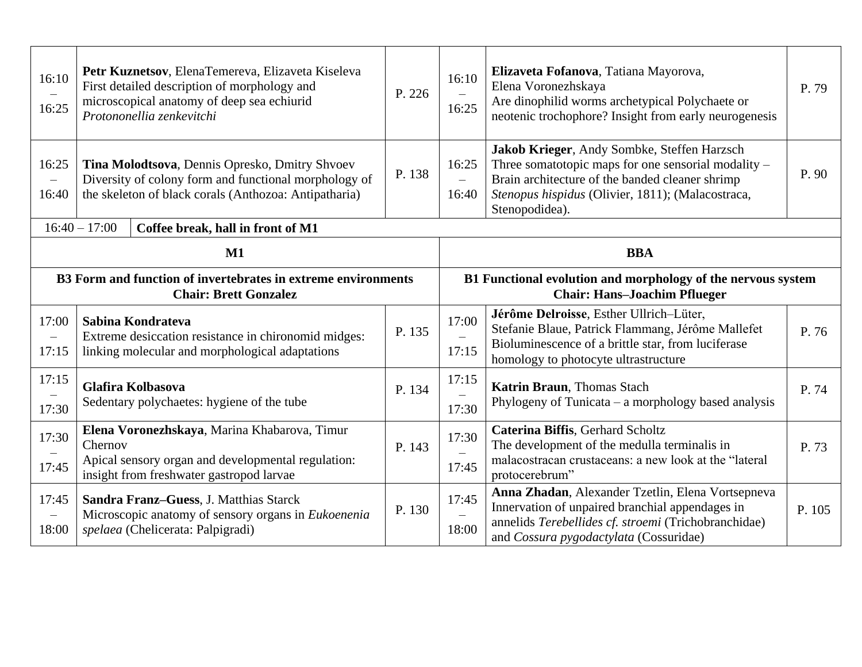| 16:10<br>16:25                    |                                                                                                                                                                  | Petr Kuznetsov, ElenaTemereva, Elizaveta Kiseleva<br>First detailed description of morphology and<br>microscopical anatomy of deep sea echiurid<br>Protononellia zenkevitchi | P. 226 | 16:10<br>$\equiv$<br>16:25                 | Elizaveta Fofanova, Tatiana Mayorova,<br>Elena Voronezhskaya<br>Are dinophilid worms archetypical Polychaete or<br>neotenic trochophore? Insight from early neurogenesis                                                     | P. 79 |
|-----------------------------------|------------------------------------------------------------------------------------------------------------------------------------------------------------------|------------------------------------------------------------------------------------------------------------------------------------------------------------------------------|--------|--------------------------------------------|------------------------------------------------------------------------------------------------------------------------------------------------------------------------------------------------------------------------------|-------|
| 16:25<br>$\equiv$<br>16:40        | Tina Molodtsova, Dennis Opresko, Dmitry Shvoev<br>Diversity of colony form and functional morphology of<br>the skeleton of black corals (Anthozoa: Antipatharia) |                                                                                                                                                                              | P. 138 | 16:25<br>$\overline{\phantom{0}}$<br>16:40 | Jakob Krieger, Andy Sombke, Steffen Harzsch<br>Three somatotopic maps for one sensorial modality -<br>Brain architecture of the banded cleaner shrimp<br>Stenopus hispidus (Olivier, 1811); (Malacostraca,<br>Stenopodidea). | P. 90 |
|                                   | $16:40 - 17:00$                                                                                                                                                  | Coffee break, hall in front of M1                                                                                                                                            |        |                                            |                                                                                                                                                                                                                              |       |
|                                   |                                                                                                                                                                  | M1                                                                                                                                                                           |        |                                            | <b>BBA</b>                                                                                                                                                                                                                   |       |
|                                   | B3 Form and function of invertebrates in extreme environments<br><b>Chair: Brett Gonzalez</b>                                                                    |                                                                                                                                                                              |        |                                            | B1 Functional evolution and morphology of the nervous system<br><b>Chair: Hans-Joachim Pflueger</b>                                                                                                                          |       |
| 17:00                             |                                                                                                                                                                  | Sabina Kondrateva                                                                                                                                                            |        | 17:00                                      | Jérôme Delroisse, Esther Ullrich-Lüter,<br>Stefanie Blaue, Patrick Flammang, Jérôme Mallefet                                                                                                                                 | P. 76 |
| $\overline{\phantom{m}}$<br>17:15 |                                                                                                                                                                  | Extreme desiccation resistance in chironomid midges:<br>linking molecular and morphological adaptations                                                                      | P. 135 | 17:15                                      | Bioluminescence of a brittle star, from luciferase<br>homology to photocyte ultrastructure                                                                                                                                   |       |
| 17:15<br>17:30                    |                                                                                                                                                                  | Glafira Kolbasova<br>Sedentary polychaetes: hygiene of the tube                                                                                                              | P. 134 | 17:15<br>17:30                             | Katrin Braun, Thomas Stach<br>Phylogeny of Tunicata – a morphology based analysis                                                                                                                                            | P. 74 |
| 17:30<br>17:45                    | Chernov                                                                                                                                                          | Elena Voronezhskaya, Marina Khabarova, Timur<br>Apical sensory organ and developmental regulation:<br>insight from freshwater gastropod larvae                               | P. 143 | 17:30<br>17:45                             | Caterina Biffis, Gerhard Scholtz<br>The development of the medulla terminalis in<br>malacostracan crustaceans: a new look at the "lateral<br>protocerebrum"                                                                  | P. 73 |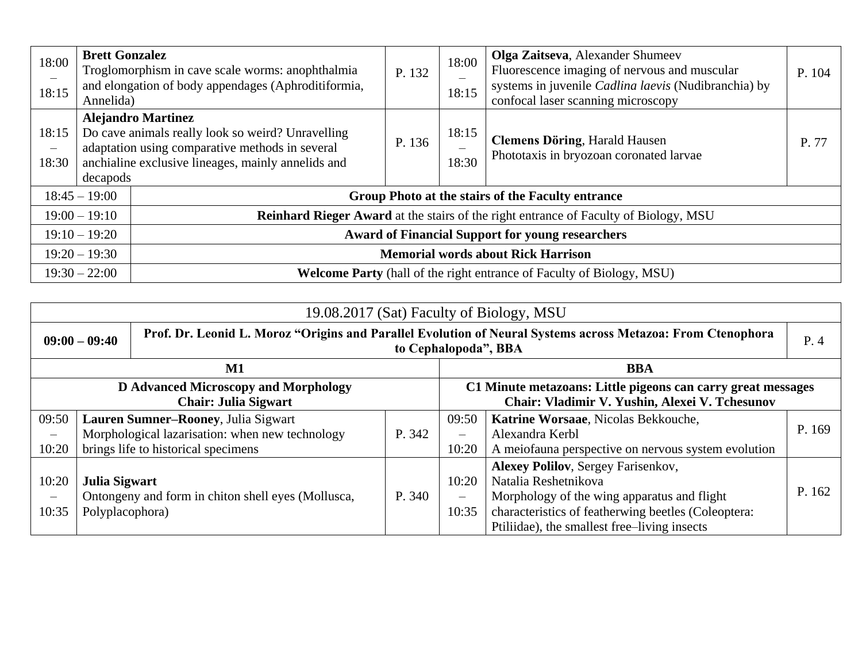| 18:00<br>$\qquad \qquad -$<br>18:15 | <b>Brett Gonzalez</b><br>Annelida) | Troglomorphism in cave scale worms: anophthalmia<br>and elongation of body appendages (Aphroditiformia,                                                                                 | P. 132 | 18:00<br>18:15                                          | Olga Zaitseva, Alexander Shumeev<br>Fluorescence imaging of nervous and muscular<br>systems in juvenile Cadlina laevis (Nudibranchia) by<br>confocal laser scanning microscopy | P. 104 |
|-------------------------------------|------------------------------------|-----------------------------------------------------------------------------------------------------------------------------------------------------------------------------------------|--------|---------------------------------------------------------|--------------------------------------------------------------------------------------------------------------------------------------------------------------------------------|--------|
| 18:15<br>$\qquad \qquad -$<br>18:30 | decapods                           | <b>Alejandro Martinez</b><br>Do cave animals really look so weird? Unravelling<br>adaptation using comparative methods in several<br>anchialine exclusive lineages, mainly annelids and | P. 136 | 18:15<br>18:30                                          | <b>Clemens Döring, Harald Hausen</b><br>Phototaxis in bryozoan coronated larvae                                                                                                | P. 77  |
|                                     | $18:45 - 19:00$                    |                                                                                                                                                                                         |        |                                                         | Group Photo at the stairs of the Faculty entrance                                                                                                                              |        |
|                                     | $19:00 - 19:10$                    |                                                                                                                                                                                         |        |                                                         | Reinhard Rieger Award at the stairs of the right entrance of Faculty of Biology, MSU                                                                                           |        |
| $19:10 - 19:20$                     |                                    |                                                                                                                                                                                         |        | <b>Award of Financial Support for young researchers</b> |                                                                                                                                                                                |        |
| $19:20 - 19:30$                     |                                    |                                                                                                                                                                                         |        | <b>Memorial words about Rick Harrison</b>               |                                                                                                                                                                                |        |
|                                     | $19:30 - 22:00$                    |                                                                                                                                                                                         |        |                                                         | <b>Welcome Party</b> (hall of the right entrance of Faculty of Biology, MSU)                                                                                                   |        |

| 19.08.2017 (Sat) Faculty of Biology, MSU                            |                                         |                                                    |        |                            |                                                                                                                                                                                                                          |        |
|---------------------------------------------------------------------|-----------------------------------------|----------------------------------------------------|--------|----------------------------|--------------------------------------------------------------------------------------------------------------------------------------------------------------------------------------------------------------------------|--------|
| $09:00 - 09:40$                                                     |                                         |                                                    |        | to Cephalopoda", BBA       | Prof. Dr. Leonid L. Moroz "Origins and Parallel Evolution of Neural Systems across Metazoa: From Ctenophora                                                                                                              | P.4    |
|                                                                     |                                         | $\mathbf{M1}$                                      |        |                            | <b>BBA</b>                                                                                                                                                                                                               |        |
| D Advanced Microscopy and Morphology<br><b>Chair: Julia Sigwart</b> |                                         |                                                    |        |                            | C1 Minute metazoans: Little pigeons can carry great messages<br>Chair: Vladimir V. Yushin, Alexei V. Tchesunov                                                                                                           |        |
| 09:50                                                               |                                         | Lauren Sumner-Rooney, Julia Sigwart                |        | 09:50                      | Katrine Worsaae, Nicolas Bekkouche,                                                                                                                                                                                      |        |
| $\qquad \qquad -$                                                   |                                         | Morphological lazarisation: when new technology    | P. 342 | $\qquad \qquad -$          | Alexandra Kerbl                                                                                                                                                                                                          | P. 169 |
| 10:20                                                               |                                         | brings life to historical specimens                |        | 10:20                      | A meiofauna perspective on nervous system evolution                                                                                                                                                                      |        |
| 10:20<br>10:35                                                      | <b>Julia Sigwart</b><br>Polyplacophora) | Ontongeny and form in chiton shell eyes (Mollusca, | P. 340 | 10:20<br>$\equiv$<br>10:35 | <b>Alexey Polilov</b> , Sergey Farisenkov,<br>Natalia Reshetnikova<br>Morphology of the wing apparatus and flight<br>characteristics of featherwing beetles (Coleoptera:<br>Ptiliidae), the smallest free–living insects | P. 162 |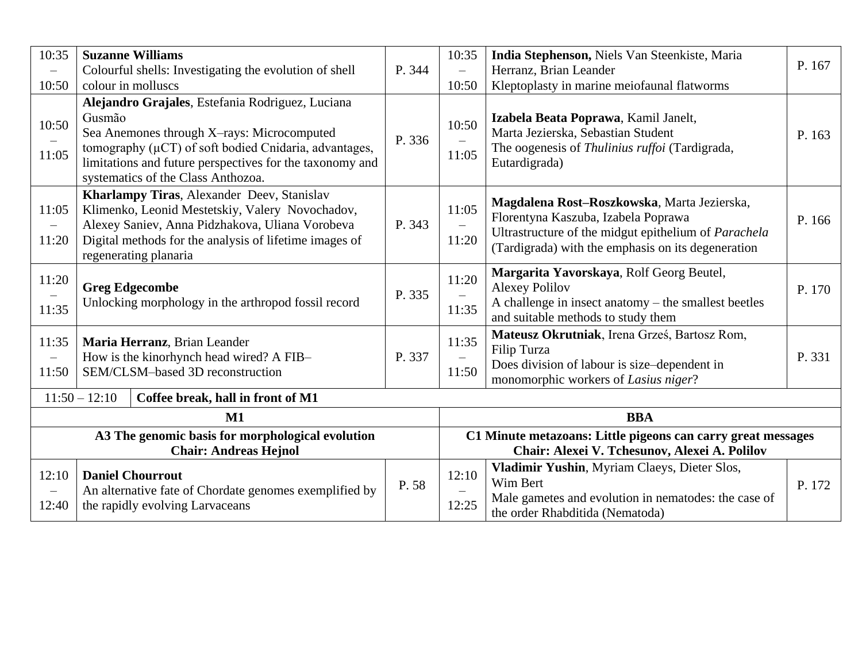| 10:35                                                                            | <b>Suzanne Williams</b>                                                                                                                                                                                                                                                  |        | 10:35                                      | India Stephenson, Niels Van Steenkiste, Maria                                                                                                                                                    |        |
|----------------------------------------------------------------------------------|--------------------------------------------------------------------------------------------------------------------------------------------------------------------------------------------------------------------------------------------------------------------------|--------|--------------------------------------------|--------------------------------------------------------------------------------------------------------------------------------------------------------------------------------------------------|--------|
|                                                                                  | Colourful shells: Investigating the evolution of shell                                                                                                                                                                                                                   | P. 344 | $\equiv$                                   | Herranz, Brian Leander                                                                                                                                                                           | P. 167 |
| 10:50                                                                            | colour in molluscs                                                                                                                                                                                                                                                       |        | 10:50                                      | Kleptoplasty in marine meiofaunal flatworms                                                                                                                                                      |        |
| 10:50<br>11:05                                                                   | Alejandro Grajales, Estefania Rodriguez, Luciana<br>Gusmão<br>Sea Anemones through X-rays: Microcomputed<br>tomography $(\mu CT)$ of soft bodied Cnidaria, advantages,<br>limitations and future perspectives for the taxonomy and<br>systematics of the Class Anthozoa. | P. 336 | 10:50<br>11:05                             | Izabela Beata Poprawa, Kamil Janelt,<br>Marta Jezierska, Sebastian Student<br>The oogenesis of Thulinius ruffoi (Tardigrada,<br>Eutardigrada)                                                    | P. 163 |
| 11:05<br>$\overline{\phantom{m}}$<br>11:20                                       | Kharlampy Tiras, Alexander Deev, Stanislav<br>Klimenko, Leonid Mestetskiy, Valery Novochadov,<br>Alexey Saniev, Anna Pidzhakova, Uliana Vorobeva<br>Digital methods for the analysis of lifetime images of<br>regenerating planaria                                      | P. 343 | 11:05<br>11:20                             | Magdalena Rost-Roszkowska, Marta Jezierska,<br>Florentyna Kaszuba, Izabela Poprawa<br>Ultrastructure of the midgut epithelium of Parachela<br>(Tardigrada) with the emphasis on its degeneration | P. 166 |
| 11:20<br>11:35                                                                   | <b>Greg Edgecombe</b><br>Unlocking morphology in the arthropod fossil record                                                                                                                                                                                             | P. 335 | 11:20<br>$\equiv$<br>11:35                 | Margarita Yavorskaya, Rolf Georg Beutel,<br><b>Alexey Polilov</b><br>A challenge in insect anatomy $-$ the smallest beetles<br>and suitable methods to study them                                | P. 170 |
| 11:35<br>$\qquad \qquad -$<br>11:50                                              | Maria Herranz, Brian Leander<br>How is the kinorhynch head wired? A FIB-<br>SEM/CLSM-based 3D reconstruction                                                                                                                                                             | P. 337 | 11:35<br>$\overline{\phantom{0}}$<br>11:50 | Mateusz Okrutniak, Irena Grześ, Bartosz Rom,<br><b>Filip Turza</b><br>Does division of labour is size-dependent in<br>monomorphic workers of Lasius niger?                                       | P. 331 |
|                                                                                  | $11:50 - 12:10$<br>Coffee break, hall in front of M1                                                                                                                                                                                                                     |        |                                            |                                                                                                                                                                                                  |        |
|                                                                                  | $M1$                                                                                                                                                                                                                                                                     |        |                                            | <b>BBA</b>                                                                                                                                                                                       |        |
| A3 The genomic basis for morphological evolution<br><b>Chair: Andreas Hejnol</b> |                                                                                                                                                                                                                                                                          |        |                                            | C1 Minute metazoans: Little pigeons can carry great messages<br>Chair: Alexei V. Tchesunov, Alexei A. Polilov                                                                                    |        |
| 12:10<br>$\overline{\phantom{m}}$<br>12:40                                       | <b>Daniel Chourrout</b><br>An alternative fate of Chordate genomes exemplified by<br>the rapidly evolving Larvaceans                                                                                                                                                     | P. 58  | 12:10<br>12:25                             | Vladimir Yushin, Myriam Claeys, Dieter Slos,<br>Wim Bert<br>Male gametes and evolution in nematodes: the case of<br>the order Rhabditida (Nematoda)                                              | P. 172 |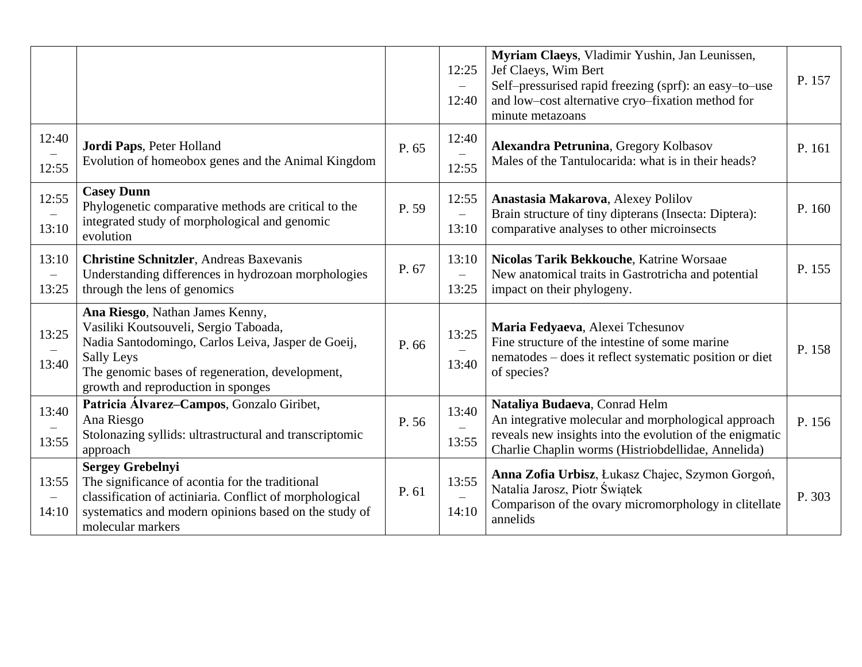|                                            |                                                                                                                                                                                                                                              |       | 12:25<br>$\overline{\phantom{0}}$<br>12:40 | Myriam Claeys, Vladimir Yushin, Jan Leunissen,<br>Jef Claeys, Wim Bert<br>Self-pressurised rapid freezing (sprf): an easy-to-use<br>and low-cost alternative cryo-fixation method for<br>minute metazoans | P. 157 |
|--------------------------------------------|----------------------------------------------------------------------------------------------------------------------------------------------------------------------------------------------------------------------------------------------|-------|--------------------------------------------|-----------------------------------------------------------------------------------------------------------------------------------------------------------------------------------------------------------|--------|
| 12:40<br>12:55                             | Jordi Paps, Peter Holland<br>Evolution of homeobox genes and the Animal Kingdom                                                                                                                                                              | P. 65 | 12:40<br>$\equiv$<br>12:55                 | Alexandra Petrunina, Gregory Kolbasov<br>Males of the Tantulocarida: what is in their heads?                                                                                                              | P. 161 |
| 12:55<br>13:10                             | <b>Casey Dunn</b><br>Phylogenetic comparative methods are critical to the<br>integrated study of morphological and genomic<br>evolution                                                                                                      | P. 59 | 12:55<br>$\overline{\phantom{0}}$<br>13:10 | Anastasia Makarova, Alexey Polilov<br>Brain structure of tiny dipterans (Insecta: Diptera):<br>comparative analyses to other microinsects                                                                 | P. 160 |
| 13:10<br>13:25                             | <b>Christine Schnitzler</b> , Andreas Baxevanis<br>Understanding differences in hydrozoan morphologies<br>through the lens of genomics                                                                                                       | P. 67 | 13:10<br>$\overline{\phantom{0}}$<br>13:25 | Nicolas Tarik Bekkouche, Katrine Worsaae<br>New anatomical traits in Gastrotricha and potential<br>impact on their phylogeny.                                                                             | P. 155 |
| 13:25<br>13:40                             | Ana Riesgo, Nathan James Kenny,<br>Vasiliki Koutsouveli, Sergio Taboada,<br>Nadia Santodomingo, Carlos Leiva, Jasper de Goeij,<br><b>Sally Leys</b><br>The genomic bases of regeneration, development,<br>growth and reproduction in sponges | P. 66 | 13:25<br>13:40                             | Maria Fedyaeva, Alexei Tchesunov<br>Fine structure of the intestine of some marine<br>nematodes – does it reflect systematic position or diet<br>of species?                                              | P. 158 |
| 13:40<br>13:55                             | Patricia Álvarez-Campos, Gonzalo Giribet,<br>Ana Riesgo<br>Stolonazing syllids: ultrastructural and transcriptomic<br>approach                                                                                                               | P. 56 | 13:40<br>13:55                             | Nataliya Budaeva, Conrad Helm<br>An integrative molecular and morphological approach<br>reveals new insights into the evolution of the enigmatic<br>Charlie Chaplin worms (Histriobdellidae, Annelida)    | P. 156 |
| 13:55<br>$\overline{\phantom{m}}$<br>14:10 | <b>Sergey Grebelnyi</b><br>The significance of acontia for the traditional<br>classification of actiniaria. Conflict of morphological<br>systematics and modern opinions based on the study of<br>molecular markers                          | P. 61 | 13:55<br>14:10                             | Anna Zofia Urbisz, Łukasz Chajec, Szymon Gorgoń,<br>Natalia Jarosz, Piotr Świątek<br>Comparison of the ovary micromorphology in clitellate<br>annelids                                                    | P. 303 |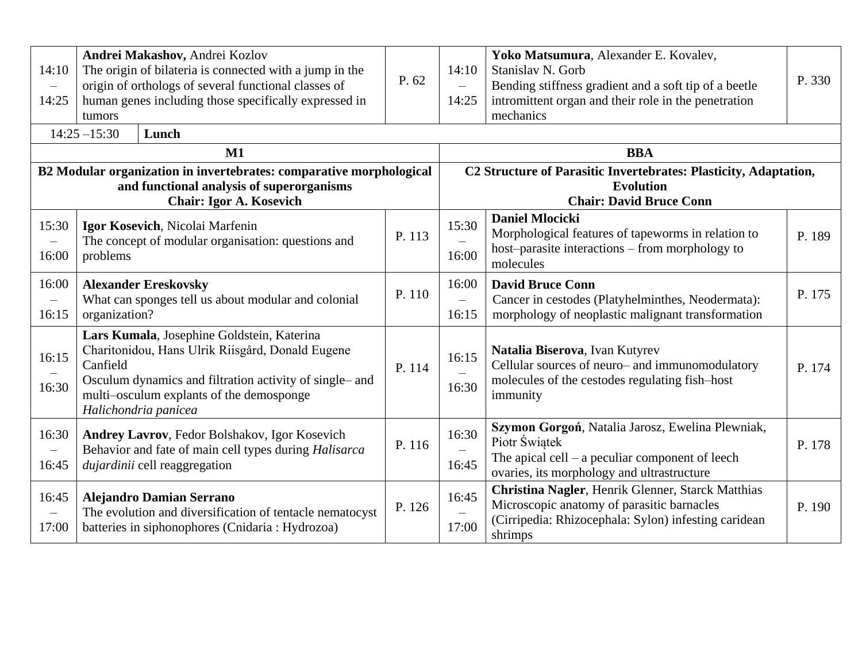| 14:10<br>14:25                                                                                                                                     | Andrei Makashov, Andrei Kozlov<br>The origin of bilateria is connected with a jump in the<br>origin of orthologs of several functional classes of<br>human genes including those specifically expressed in<br>tumors<br>$14:25 - 15:30$<br>Lunch | P. 62  | 14:10<br>$\equiv$<br>14:25                 | Yoko Matsumura, Alexander E. Kovalev,<br>Stanislav N. Gorb<br>Bending stiffness gradient and a soft tip of a beetle<br>intromittent organ and their role in the penetration<br>mechanics | P. 330 |
|----------------------------------------------------------------------------------------------------------------------------------------------------|--------------------------------------------------------------------------------------------------------------------------------------------------------------------------------------------------------------------------------------------------|--------|--------------------------------------------|------------------------------------------------------------------------------------------------------------------------------------------------------------------------------------------|--------|
|                                                                                                                                                    | $M1$                                                                                                                                                                                                                                             |        |                                            | <b>BBA</b>                                                                                                                                                                               |        |
| B2 Modular organization in invertebrates: comparative morphological<br>and functional analysis of superorganisms<br><b>Chair: Igor A. Kosevich</b> |                                                                                                                                                                                                                                                  |        |                                            | C2 Structure of Parasitic Invertebrates: Plasticity, Adaptation,<br><b>Evolution</b><br><b>Chair: David Bruce Conn</b>                                                                   |        |
| 15:30<br>$\overline{\phantom{0}}$<br>16:00                                                                                                         | Igor Kosevich, Nicolai Marfenin<br>The concept of modular organisation: questions and<br>problems                                                                                                                                                | P. 113 | 15:30<br>16:00                             | <b>Daniel Mlocicki</b><br>Morphological features of tapeworms in relation to<br>host-parasite interactions - from morphology to<br>molecules                                             | P. 189 |
| 16:00<br>16:15                                                                                                                                     | <b>Alexander Ereskovsky</b><br>What can sponges tell us about modular and colonial<br>organization?                                                                                                                                              | P. 110 | 16:00<br>$\overline{\phantom{0}}$<br>16:15 | <b>David Bruce Conn</b><br>Cancer in cestodes (Platyhelminthes, Neodermata):<br>morphology of neoplastic malignant transformation                                                        | P. 175 |
| 16:15<br>16:30                                                                                                                                     | Lars Kumala, Josephine Goldstein, Katerina<br>Charitonidou, Hans Ulrik Riisgård, Donald Eugene<br>Canfield<br>Osculum dynamics and filtration activity of single- and<br>multi-osculum explants of the demosponge<br>Halichondria panicea        | P. 114 | 16:15<br>16:30                             | Natalia Biserova, Ivan Kutyrev<br>Cellular sources of neuro- and immunomodulatory<br>molecules of the cestodes regulating fish-host<br>immunity                                          | P. 174 |
| 16:30<br>$\overline{\phantom{m}}$<br>16:45                                                                                                         | Andrey Lavrov, Fedor Bolshakov, Igor Kosevich<br>Behavior and fate of main cell types during Halisarca<br>dujardinii cell reaggregation                                                                                                          | P. 116 | 16:30<br>16:45                             | Szymon Gorgoń, Natalia Jarosz, Ewelina Plewniak,<br>Piotr Świątek<br>The apical cell $-$ a peculiar component of leech<br>ovaries, its morphology and ultrastructure                     | P. 178 |
| 16:45<br>$\overline{\phantom{0}}$<br>17:00                                                                                                         | <b>Alejandro Damian Serrano</b><br>The evolution and diversification of tentacle nematocyst<br>batteries in siphonophores (Cnidaria : Hydrozoa)                                                                                                  | P. 126 | 16:45<br>17:00                             | Christina Nagler, Henrik Glenner, Starck Matthias<br>Microscopic anatomy of parasitic barnacles<br>(Cirripedia: Rhizocephala: Sylon) infesting caridean<br>shrimps                       | P. 190 |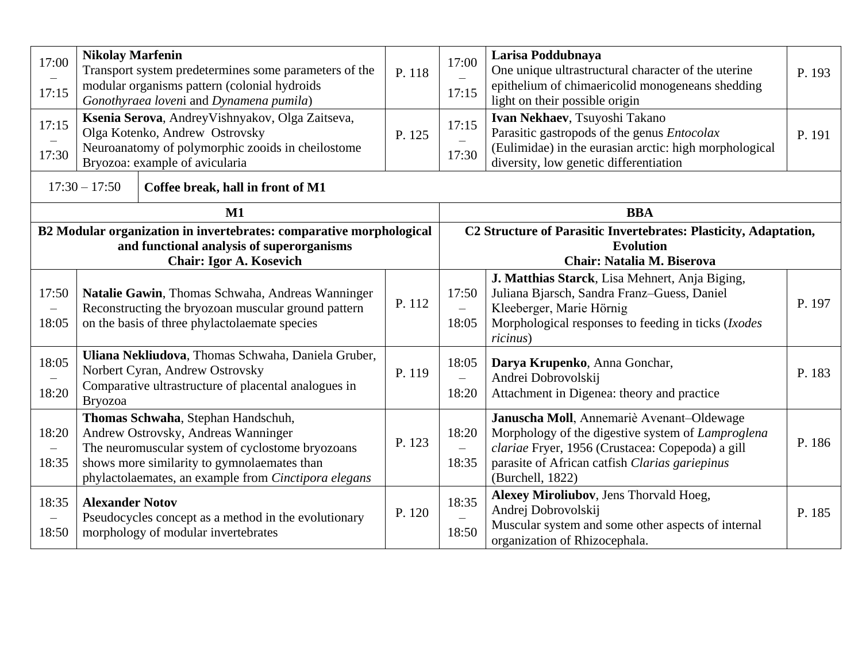| 17:00<br>17:15                                                                                                                                     | <b>Nikolay Marfenin</b>                                                                                                                                                             | Transport system predetermines some parameters of the<br>modular organisms pattern (colonial hydroids<br>Gonothyraea loveni and Dynamena pumila)                                                                                     | P. 118 | 17:00<br>17:15                             | Larisa Poddubnaya<br>One unique ultrastructural character of the uterine<br>epithelium of chimaericolid monogeneans shedding<br>light on their possible origin                                                           | P. 193 |
|----------------------------------------------------------------------------------------------------------------------------------------------------|-------------------------------------------------------------------------------------------------------------------------------------------------------------------------------------|--------------------------------------------------------------------------------------------------------------------------------------------------------------------------------------------------------------------------------------|--------|--------------------------------------------|--------------------------------------------------------------------------------------------------------------------------------------------------------------------------------------------------------------------------|--------|
| 17:15<br>17:30                                                                                                                                     | Ksenia Serova, Andrey Vishnyakov, Olga Zaitseva,<br>Olga Kotenko, Andrew Ostrovsky<br>P. 125<br>Neuroanatomy of polymorphic zooids in cheilostome<br>Bryozoa: example of avicularia |                                                                                                                                                                                                                                      |        | 17:15<br>17:30                             | Ivan Nekhaev, Tsuyoshi Takano<br>Parasitic gastropods of the genus <i>Entocolax</i><br>(Eulimidae) in the eurasian arctic: high morphological<br>diversity, low genetic differentiation                                  | P. 191 |
|                                                                                                                                                    | $17:30 - 17:50$                                                                                                                                                                     | Coffee break, hall in front of M1                                                                                                                                                                                                    |        |                                            |                                                                                                                                                                                                                          |        |
|                                                                                                                                                    |                                                                                                                                                                                     | M1                                                                                                                                                                                                                                   |        |                                            | <b>BBA</b>                                                                                                                                                                                                               |        |
| B2 Modular organization in invertebrates: comparative morphological<br>and functional analysis of superorganisms<br><b>Chair: Igor A. Kosevich</b> |                                                                                                                                                                                     |                                                                                                                                                                                                                                      |        |                                            | C2 Structure of Parasitic Invertebrates: Plasticity, Adaptation,<br><b>Evolution</b><br>Chair: Natalia M. Biserova                                                                                                       |        |
| 17:50<br>$\qquad \qquad -$<br>18:05                                                                                                                |                                                                                                                                                                                     | Natalie Gawin, Thomas Schwaha, Andreas Wanninger<br>Reconstructing the bryozoan muscular ground pattern<br>on the basis of three phylactolaemate species                                                                             | P. 112 | 17:50<br>$\overline{\phantom{0}}$<br>18:05 | J. Matthias Starck, Lisa Mehnert, Anja Biging,<br>Juliana Bjarsch, Sandra Franz-Guess, Daniel<br>Kleeberger, Marie Hörnig<br>Morphological responses to feeding in ticks (Ixodes<br>ricinus)                             | P. 197 |
| 18:05<br>18:20                                                                                                                                     | <b>Bryozoa</b>                                                                                                                                                                      | Uliana Nekliudova, Thomas Schwaha, Daniela Gruber,<br>Norbert Cyran, Andrew Ostrovsky<br>Comparative ultrastructure of placental analogues in                                                                                        | P. 119 | 18:05<br>$\qquad \qquad -$<br>18:20        | Darya Krupenko, Anna Gonchar,<br>Andrei Dobrovolskij<br>Attachment in Digenea: theory and practice                                                                                                                       | P. 183 |
| 18:20<br>$\overline{\phantom{0}}$<br>18:35                                                                                                         |                                                                                                                                                                                     | Thomas Schwaha, Stephan Handschuh,<br>Andrew Ostrovsky, Andreas Wanninger<br>The neuromuscular system of cyclostome bryozoans<br>shows more similarity to gymnolaemates than<br>phylactolaemates, an example from Cinctipora elegans | P. 123 | 18:20<br>$\qquad \qquad -$<br>18:35        | Januscha Moll, Annemariè Avenant-Oldewage<br>Morphology of the digestive system of Lamproglena<br>clariae Fryer, 1956 (Crustacea: Copepoda) a gill<br>parasite of African catfish Clarias gariepinus<br>(Burchell, 1822) | P. 186 |
| 18:35<br>$\qquad \qquad -$<br>18:50                                                                                                                | <b>Alexander Notov</b>                                                                                                                                                              | Pseudocycles concept as a method in the evolutionary<br>morphology of modular invertebrates                                                                                                                                          | P. 120 | 18:35<br>18:50                             | Alexey Miroliubov, Jens Thorvald Hoeg,<br>Andrej Dobrovolskij<br>Muscular system and some other aspects of internal<br>organization of Rhizocephala.                                                                     | P. 185 |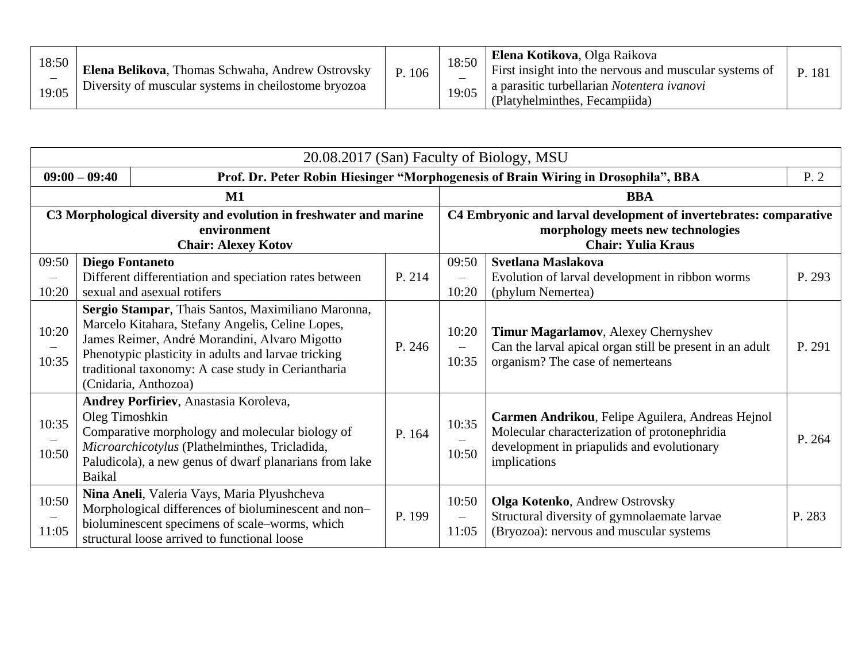| 18:50<br>19:05 | Elena Belikova, Thomas Schwaha, Andrew Ostrovsky<br>Diversity of muscular systems in cheilostome bryozoa | P. 106 | 18:50<br>19:05 | <b>Elena Kotikova, Olga Raikova</b><br>First insight into the nervous and muscular systems of<br>a parasitic turbellarian Notentera ivanovi<br>(Platyhelminthes, Fecampiida) | P. 181 |  |
|----------------|----------------------------------------------------------------------------------------------------------|--------|----------------|------------------------------------------------------------------------------------------------------------------------------------------------------------------------------|--------|--|
|----------------|----------------------------------------------------------------------------------------------------------|--------|----------------|------------------------------------------------------------------------------------------------------------------------------------------------------------------------------|--------|--|

|                                                                                                                | 20.08.2017 (San) Faculty of Biology, MSU |                                                                                                                                                                                                                                                                                              |        |                                                                                                                                     |                                                                                                                                                                |        |  |  |
|----------------------------------------------------------------------------------------------------------------|------------------------------------------|----------------------------------------------------------------------------------------------------------------------------------------------------------------------------------------------------------------------------------------------------------------------------------------------|--------|-------------------------------------------------------------------------------------------------------------------------------------|----------------------------------------------------------------------------------------------------------------------------------------------------------------|--------|--|--|
|                                                                                                                | $09:00 - 09:40$                          |                                                                                                                                                                                                                                                                                              |        |                                                                                                                                     | Prof. Dr. Peter Robin Hiesinger "Morphogenesis of Brain Wiring in Drosophila", BBA                                                                             | P.2    |  |  |
|                                                                                                                |                                          | $\mathbf{M1}$                                                                                                                                                                                                                                                                                |        |                                                                                                                                     | <b>BBA</b>                                                                                                                                                     |        |  |  |
| C3 Morphological diversity and evolution in freshwater and marine<br>environment<br><b>Chair: Alexey Kotov</b> |                                          |                                                                                                                                                                                                                                                                                              |        | C4 Embryonic and larval development of invertebrates: comparative<br>morphology meets new technologies<br><b>Chair: Yulia Kraus</b> |                                                                                                                                                                |        |  |  |
| 09:50<br>$\overline{\phantom{0}}$<br>10:20                                                                     | <b>Diego Fontaneto</b>                   | Different differentiation and speciation rates between<br>sexual and asexual rotifers                                                                                                                                                                                                        | P. 214 | 09:50<br>$\equiv$<br>10:20                                                                                                          | Svetlana Maslakova<br>Evolution of larval development in ribbon worms<br>(phylum Nemertea)                                                                     | P. 293 |  |  |
| 10:20<br>10:35                                                                                                 |                                          | Sergio Stampar, Thais Santos, Maximiliano Maronna,<br>Marcelo Kitahara, Stefany Angelis, Celine Lopes,<br>James Reimer, André Morandini, Alvaro Migotto<br>Phenotypic plasticity in adults and larvae tricking<br>traditional taxonomy: A case study in Ceriantharia<br>(Cnidaria, Anthozoa) | P. 246 | 10:20<br>10:35                                                                                                                      | Timur Magarlamov, Alexey Chernyshev<br>Can the larval apical organ still be present in an adult<br>organism? The case of nemerteans                            | P. 291 |  |  |
| 10:35<br>10:50                                                                                                 | Oleg Timoshkin<br><b>Baikal</b>          | Andrey Porfiriev, Anastasia Koroleva,<br>Comparative morphology and molecular biology of<br>Microarchicotylus (Plathelminthes, Tricladida,<br>Paludicola), a new genus of dwarf planarians from lake                                                                                         | P. 164 | 10:35<br>10:50                                                                                                                      | Carmen Andrikou, Felipe Aguilera, Andreas Hejnol<br>Molecular characterization of protonephridia<br>development in priapulids and evolutionary<br>implications | P. 264 |  |  |
| 10:50<br>11:05                                                                                                 |                                          | Nina Aneli, Valeria Vays, Maria Plyushcheva<br>Morphological differences of bioluminescent and non-<br>bioluminescent specimens of scale-worms, which<br>structural loose arrived to functional loose                                                                                        | P. 199 | 10:50<br>$\overline{\phantom{0}}$<br>11:05                                                                                          | <b>Olga Kotenko</b> , Andrew Ostrovsky<br>Structural diversity of gymnolaemate larvae<br>(Bryozoa): nervous and muscular systems                               | P. 283 |  |  |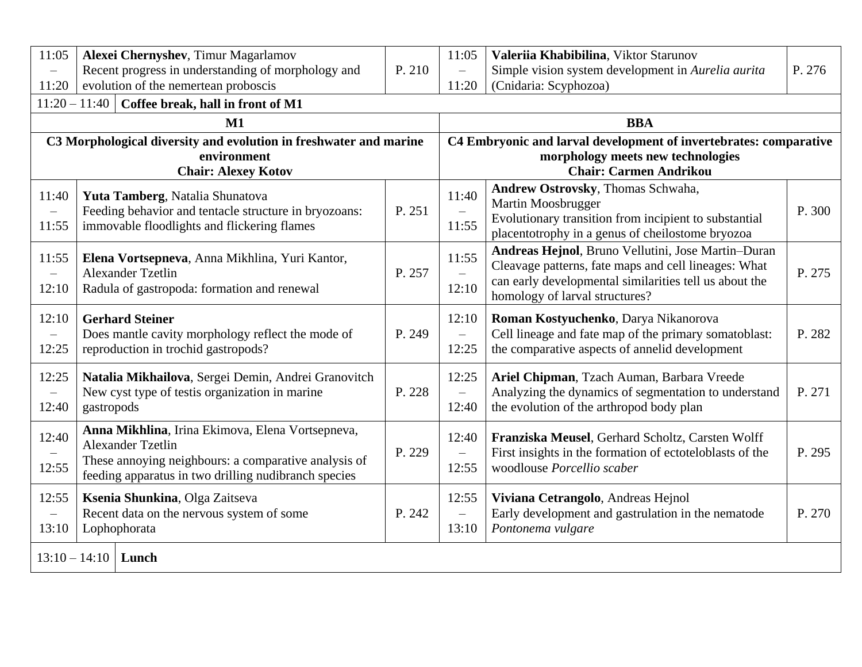| 11:05<br>$\equiv$                          | Alexei Chernyshev, Timur Magarlamov<br>Recent progress in understanding of morphology and                                                                                                    | P. 210 | 11:05<br>$\overline{\phantom{0}}$          | Valeriia Khabibilina, Viktor Starunov<br>Simple vision system development in Aurelia aurita                                                                                                            | P. 276 |  |  |  |
|--------------------------------------------|----------------------------------------------------------------------------------------------------------------------------------------------------------------------------------------------|--------|--------------------------------------------|--------------------------------------------------------------------------------------------------------------------------------------------------------------------------------------------------------|--------|--|--|--|
| 11:20                                      | evolution of the nemertean proboscis                                                                                                                                                         |        | 11:20                                      | (Cnidaria: Scyphozoa)                                                                                                                                                                                  |        |  |  |  |
|                                            | $11:20 - 11:40$<br>Coffee break, hall in front of M1                                                                                                                                         |        |                                            |                                                                                                                                                                                                        |        |  |  |  |
|                                            | M1                                                                                                                                                                                           |        |                                            | <b>BBA</b>                                                                                                                                                                                             |        |  |  |  |
|                                            | C3 Morphological diversity and evolution in freshwater and marine<br>environment                                                                                                             |        |                                            | C4 Embryonic and larval development of invertebrates: comparative<br>morphology meets new technologies                                                                                                 |        |  |  |  |
|                                            | <b>Chair: Alexey Kotov</b>                                                                                                                                                                   |        |                                            | <b>Chair: Carmen Andrikou</b>                                                                                                                                                                          |        |  |  |  |
| 11:40<br>$\overline{\phantom{m}}$<br>11:55 | Yuta Tamberg, Natalia Shunatova<br>Feeding behavior and tentacle structure in bryozoans:<br>immovable floodlights and flickering flames                                                      | P. 251 | 11:40<br>11:55                             | Andrew Ostrovsky, Thomas Schwaha,<br>Martin Moosbrugger<br>Evolutionary transition from incipient to substantial<br>placentotrophy in a genus of cheilostome bryozoa                                   | P. 300 |  |  |  |
| 11:55<br>$\overline{\phantom{m}}$<br>12:10 | Elena Vortsepneva, Anna Mikhlina, Yuri Kantor,<br><b>Alexander Tzetlin</b><br>Radula of gastropoda: formation and renewal                                                                    | P. 257 | 11:55<br>12:10                             | Andreas Hejnol, Bruno Vellutini, Jose Martin-Duran<br>Cleavage patterns, fate maps and cell lineages: What<br>can early developmental similarities tell us about the<br>homology of larval structures? | P. 275 |  |  |  |
| 12:10<br>$\overline{\phantom{m}}$<br>12:25 | <b>Gerhard Steiner</b><br>Does mantle cavity morphology reflect the mode of<br>reproduction in trochid gastropods?                                                                           | P. 249 | 12:10<br>$\qquad \qquad -$<br>12:25        | Roman Kostyuchenko, Darya Nikanorova<br>Cell lineage and fate map of the primary somatoblast:<br>the comparative aspects of annelid development                                                        | P. 282 |  |  |  |
| 12:25<br>$\overline{\phantom{0}}$<br>12:40 | Natalia Mikhailova, Sergei Demin, Andrei Granovitch<br>New cyst type of testis organization in marine<br>gastropods                                                                          | P. 228 | 12:25<br>$\overline{\phantom{0}}$<br>12:40 | Ariel Chipman, Tzach Auman, Barbara Vreede<br>Analyzing the dynamics of segmentation to understand<br>the evolution of the arthropod body plan                                                         | P. 271 |  |  |  |
| 12:40<br>12:55                             | Anna Mikhlina, Irina Ekimova, Elena Vortsepneva,<br><b>Alexander Tzetlin</b><br>These annoying neighbours: a comparative analysis of<br>feeding apparatus in two drilling nudibranch species | P. 229 | 12:40<br>$\qquad \qquad -$<br>12:55        | Franziska Meusel, Gerhard Scholtz, Carsten Wolff<br>First insights in the formation of ectoteloblasts of the<br>woodlouse Porcellio scaber                                                             | P. 295 |  |  |  |
| 12:55<br>$\overline{\phantom{m}}$<br>13:10 | Ksenia Shunkina, Olga Zaitseva<br>Recent data on the nervous system of some<br>Lophophorata                                                                                                  | P. 242 | 12:55<br>$\equiv$<br>13:10                 | Viviana Cetrangolo, Andreas Hejnol<br>Early development and gastrulation in the nematode<br>Pontonema vulgare                                                                                          | P. 270 |  |  |  |
| $13:10 - 14:10$                            | Lunch                                                                                                                                                                                        |        |                                            |                                                                                                                                                                                                        |        |  |  |  |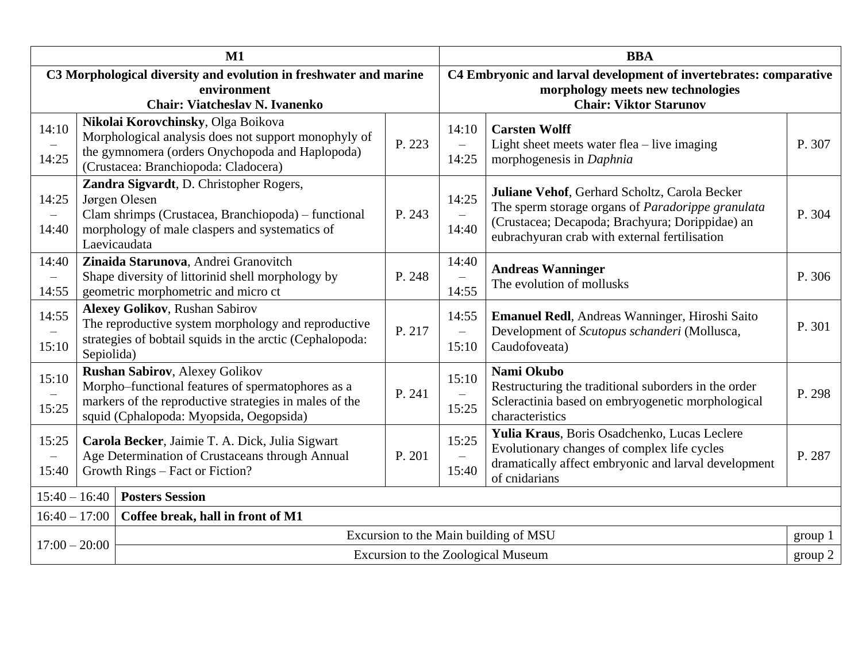|                                            | $M1$                                                                                                                      |                                                                                                                                                                                                 |        | <b>BBA</b>                                                                                                                              |                                                                                                                                                                                                               |         |
|--------------------------------------------|---------------------------------------------------------------------------------------------------------------------------|-------------------------------------------------------------------------------------------------------------------------------------------------------------------------------------------------|--------|-----------------------------------------------------------------------------------------------------------------------------------------|---------------------------------------------------------------------------------------------------------------------------------------------------------------------------------------------------------------|---------|
|                                            | C3 Morphological diversity and evolution in freshwater and marine<br>environment<br><b>Chair: Viatcheslav N. Ivanenko</b> |                                                                                                                                                                                                 |        | C4 Embryonic and larval development of invertebrates: comparative<br>morphology meets new technologies<br><b>Chair: Viktor Starunov</b> |                                                                                                                                                                                                               |         |
| 14:10<br>14:25                             |                                                                                                                           | Nikolai Korovchinsky, Olga Boikova<br>Morphological analysis does not support monophyly of<br>the gymnomera (orders Onychopoda and Haplopoda)<br>(Crustacea: Branchiopoda: Cladocera)           | P. 223 | 14:10<br>$\overline{\phantom{0}}$<br>14:25                                                                                              | <b>Carsten Wolff</b><br>Light sheet meets water flea $-$ live imaging<br>morphogenesis in Daphnia                                                                                                             | P. 307  |
| 14:25<br>$\qquad \qquad -$<br>14:40        |                                                                                                                           | Zandra Sigvardt, D. Christopher Rogers,<br>Jørgen Olesen<br>Clam shrimps (Crustacea, Branchiopoda) – functional<br>morphology of male claspers and systematics of<br>Laevicaudata               | P. 243 | 14:25<br>14:40                                                                                                                          | Juliane Vehof, Gerhard Scholtz, Carola Becker<br>The sperm storage organs of <i>Paradorippe granulata</i><br>(Crustacea; Decapoda; Brachyura; Dorippidae) an<br>eubrachyuran crab with external fertilisation | P. 304  |
| 14:40<br>$\overline{\phantom{0}}$<br>14:55 |                                                                                                                           | Zinaida Starunova, Andrei Granovitch<br>Shape diversity of littorinid shell morphology by<br>geometric morphometric and micro ct                                                                | P. 248 | 14:40<br>14:55                                                                                                                          | <b>Andreas Wanninger</b><br>The evolution of mollusks                                                                                                                                                         | P. 306  |
| 14:55<br>15:10                             | Sepiolida)                                                                                                                | <b>Alexey Golikov, Rushan Sabirov</b><br>The reproductive system morphology and reproductive<br>strategies of bobtail squids in the arctic (Cephalopoda:                                        | P. 217 | 14:55<br>$\overline{\phantom{m}}$<br>15:10                                                                                              | <b>Emanuel Redl</b> , Andreas Wanninger, Hiroshi Saito<br>Development of Scutopus schanderi (Mollusca,<br>Caudofoveata)                                                                                       | P. 301  |
| 15:10<br>15:25                             |                                                                                                                           | <b>Rushan Sabirov, Alexey Golikov</b><br>Morpho-functional features of spermatophores as a<br>markers of the reproductive strategies in males of the<br>squid (Cphalopoda: Myopsida, Oegopsida) | P. 241 | 15:10<br>15:25                                                                                                                          | Nami Okubo<br>Restructuring the traditional suborders in the order<br>Scleractinia based on embryogenetic morphological<br>characteristics                                                                    | P. 298  |
| 15:25<br>$\overline{\phantom{0}}$<br>15:40 |                                                                                                                           | Carola Becker, Jaimie T. A. Dick, Julia Sigwart<br>Age Determination of Crustaceans through Annual<br>Growth Rings - Fact or Fiction?                                                           | P. 201 | 15:25<br>15:40                                                                                                                          | Yulia Kraus, Boris Osadchenko, Lucas Leclere<br>Evolutionary changes of complex life cycles<br>dramatically affect embryonic and larval development<br>of cnidarians                                          | P. 287  |
|                                            | $15:40 - 16:40$<br><b>Posters Session</b>                                                                                 |                                                                                                                                                                                                 |        |                                                                                                                                         |                                                                                                                                                                                                               |         |
|                                            | Coffee break, hall in front of M1<br>$16:40 - 17:00$                                                                      |                                                                                                                                                                                                 |        |                                                                                                                                         |                                                                                                                                                                                                               |         |
| $17:00 - 20:00$                            |                                                                                                                           |                                                                                                                                                                                                 |        |                                                                                                                                         | Excursion to the Main building of MSU                                                                                                                                                                         | group 1 |
|                                            |                                                                                                                           |                                                                                                                                                                                                 |        | Excursion to the Zoological Museum                                                                                                      |                                                                                                                                                                                                               | group 2 |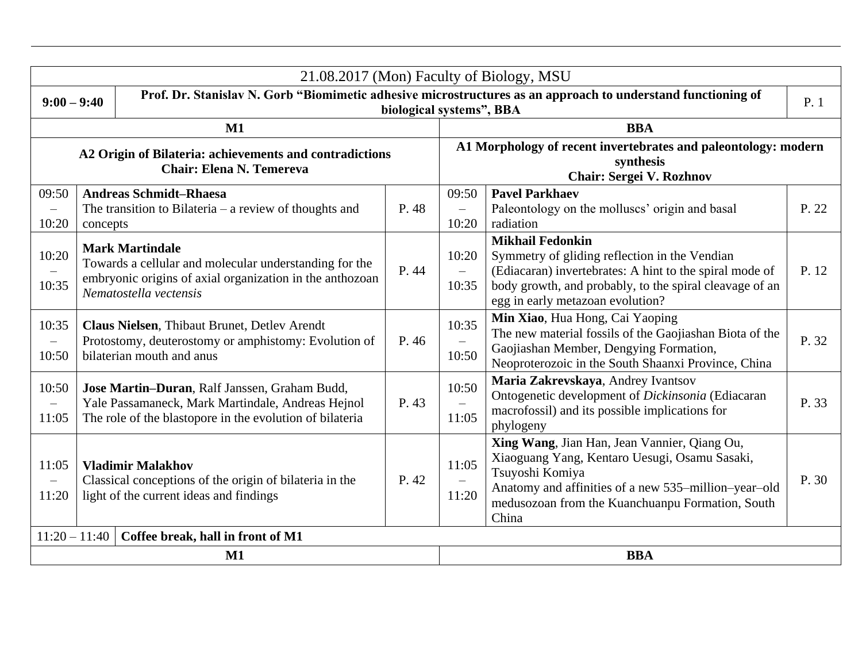|                                            | 21.08.2017 (Mon) Faculty of Biology, MSU |                                                                                                                                                                        |       |                                                                                                                                          |                                                                                                                                                                                                                                       |       |  |
|--------------------------------------------|------------------------------------------|------------------------------------------------------------------------------------------------------------------------------------------------------------------------|-------|------------------------------------------------------------------------------------------------------------------------------------------|---------------------------------------------------------------------------------------------------------------------------------------------------------------------------------------------------------------------------------------|-------|--|
|                                            | $9:00 - 9:40$                            |                                                                                                                                                                        |       | Prof. Dr. Stanislav N. Gorb "Biomimetic adhesive microstructures as an approach to understand functioning of<br>biological systems", BBA |                                                                                                                                                                                                                                       | P.1   |  |
|                                            |                                          | $M1$                                                                                                                                                                   |       |                                                                                                                                          | <b>BBA</b>                                                                                                                                                                                                                            |       |  |
|                                            |                                          | A2 Origin of Bilateria: achievements and contradictions<br><b>Chair: Elena N. Temereva</b>                                                                             |       |                                                                                                                                          | A1 Morphology of recent invertebrates and paleontology: modern<br>synthesis<br>Chair: Sergei V. Rozhnov                                                                                                                               |       |  |
| 09:50<br>$\overline{\phantom{m}}$<br>10:20 | concepts                                 | <b>Andreas Schmidt-Rhaesa</b><br>The transition to Bilateria $-$ a review of thoughts and                                                                              | P. 48 | 09:50<br>$\equiv$<br>10:20                                                                                                               | <b>Pavel Parkhaev</b><br>Paleontology on the molluscs' origin and basal<br>radiation                                                                                                                                                  | P. 22 |  |
| 10:20<br>10:35                             |                                          | <b>Mark Martindale</b><br>Towards a cellular and molecular understanding for the<br>embryonic origins of axial organization in the anthozoan<br>Nematostella vectensis | P. 44 | 10:20<br>$-$<br>10:35                                                                                                                    | <b>Mikhail Fedonkin</b><br>Symmetry of gliding reflection in the Vendian<br>(Ediacaran) invertebrates: A hint to the spiral mode of<br>body growth, and probably, to the spiral cleavage of an<br>egg in early metazoan evolution?    | P. 12 |  |
| 10:35<br>$\overline{\phantom{m}}$<br>10:50 |                                          | Claus Nielsen, Thibaut Brunet, Detlev Arendt<br>Protostomy, deuterostomy or amphistomy: Evolution of<br>bilaterian mouth and anus                                      | P. 46 | 10:35<br>10:50                                                                                                                           | Min Xiao, Hua Hong, Cai Yaoping<br>The new material fossils of the Gaojiashan Biota of the<br>Gaojiashan Member, Dengying Formation,<br>Neoproterozoic in the South Shaanxi Province, China                                           | P. 32 |  |
| 10:50<br>$\overline{\phantom{m}}$<br>11:05 |                                          | Jose Martin-Duran, Ralf Janssen, Graham Budd,<br>Yale Passamaneck, Mark Martindale, Andreas Hejnol<br>The role of the blastopore in the evolution of bilateria         | P. 43 | 10:50<br>$-$<br>11:05                                                                                                                    | Maria Zakrevskaya, Andrey Ivantsov<br>Ontogenetic development of Dickinsonia (Ediacaran<br>macrofossil) and its possible implications for<br>phylogeny                                                                                | P. 33 |  |
| 11:05<br>$\qquad \qquad -$<br>11:20        |                                          | <b>Vladimir Malakhov</b><br>Classical conceptions of the origin of bilateria in the<br>light of the current ideas and findings                                         | P. 42 | 11:05<br>11:20                                                                                                                           | Xing Wang, Jian Han, Jean Vannier, Qiang Ou,<br>Xiaoguang Yang, Kentaro Uesugi, Osamu Sasaki,<br>Tsuyoshi Komiya<br>Anatomy and affinities of a new 535-million-year-old<br>medusozoan from the Kuanchuanpu Formation, South<br>China | P. 30 |  |
| $11:20 - 11:40$                            |                                          | Coffee break, hall in front of M1                                                                                                                                      |       |                                                                                                                                          |                                                                                                                                                                                                                                       |       |  |
|                                            |                                          | $M1$                                                                                                                                                                   |       |                                                                                                                                          | <b>BBA</b>                                                                                                                                                                                                                            |       |  |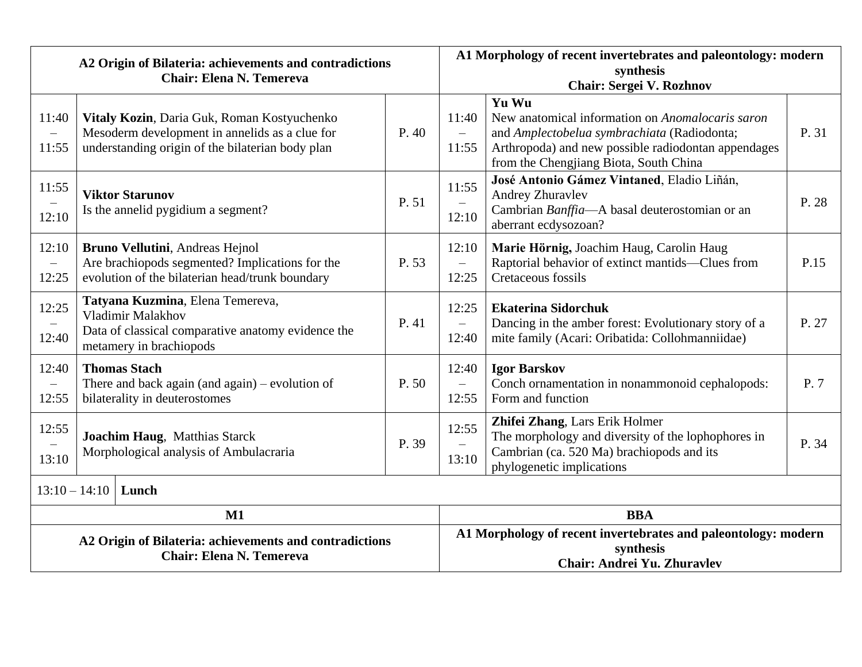| A2 Origin of Bilateria: achievements and contradictions |                                                                                                                  |                                                                                                                                                   | A1 Morphology of recent invertebrates and paleontology: modern |                                                                                                                                                                |                                                                                                                                                                                                           |       |
|---------------------------------------------------------|------------------------------------------------------------------------------------------------------------------|---------------------------------------------------------------------------------------------------------------------------------------------------|----------------------------------------------------------------|----------------------------------------------------------------------------------------------------------------------------------------------------------------|-----------------------------------------------------------------------------------------------------------------------------------------------------------------------------------------------------------|-------|
|                                                         | <b>Chair: Elena N. Temereva</b>                                                                                  |                                                                                                                                                   |                                                                | synthesis<br>Chair: Sergei V. Rozhnov                                                                                                                          |                                                                                                                                                                                                           |       |
| 11:40<br>$\overline{\phantom{0}}$<br>11:55              |                                                                                                                  | Vitaly Kozin, Daria Guk, Roman Kostyuchenko<br>Mesoderm development in annelids as a clue for<br>understanding origin of the bilaterian body plan | P.40                                                           | 11:40<br>11:55                                                                                                                                                 | Yu Wu<br>New anatomical information on Anomalocaris saron<br>and Amplectobelua symbrachiata (Radiodonta;<br>Arthropoda) and new possible radiodontan appendages<br>from the Chengjiang Biota, South China | P. 31 |
| 11:55<br>12:10                                          | <b>Viktor Starunov</b><br>Is the annelid pygidium a segment?                                                     |                                                                                                                                                   | P. 51                                                          | 11:55<br>12:10                                                                                                                                                 | José Antonio Gámez Vintaned, Eladio Liñán,<br><b>Andrey Zhuravlev</b><br>Cambrian Banffia-A basal deuterostomian or an<br>aberrant ecdysozoan?                                                            | P. 28 |
| 12:10<br>$\overline{\phantom{m}}$<br>12:25              |                                                                                                                  | Bruno Vellutini, Andreas Hejnol<br>Are brachiopods segmented? Implications for the<br>evolution of the bilaterian head/trunk boundary             | P. 53                                                          | 12:10<br>$\equiv$<br>12:25                                                                                                                                     | Marie Hörnig, Joachim Haug, Carolin Haug<br>Raptorial behavior of extinct mantids-Clues from<br>Cretaceous fossils                                                                                        | P.15  |
| 12:25<br>12:40                                          |                                                                                                                  | Tatyana Kuzmina, Elena Temereva,<br>Vladimir Malakhov<br>Data of classical comparative anatomy evidence the<br>metamery in brachiopods            | P. 41                                                          | 12:25<br>$\overline{\phantom{0}}$<br>12:40                                                                                                                     | <b>Ekaterina Sidorchuk</b><br>Dancing in the amber forest: Evolutionary story of a<br>mite family (Acari: Oribatida: Collohmanniidae)                                                                     | P. 27 |
| 12:40<br>$\overline{\phantom{m}}$<br>12:55              | <b>Thomas Stach</b><br>There and back again (and again) – evolution of<br>P. 50<br>bilaterality in deuterostomes |                                                                                                                                                   | 12:40<br>$\overline{\phantom{0}}$<br>12:55                     | <b>Igor Barskov</b><br>Conch ornamentation in nonammonoid cephalopods:<br>Form and function                                                                    | P.7                                                                                                                                                                                                       |       |
| 12:55<br>13:10                                          | Joachim Haug, Matthias Starck<br>P. 39<br>Morphological analysis of Ambulacraria                                 |                                                                                                                                                   | 12:55<br>13:10                                                 | Zhifei Zhang, Lars Erik Holmer<br>The morphology and diversity of the lophophores in<br>Cambrian (ca. 520 Ma) brachiopods and its<br>phylogenetic implications | P. 34                                                                                                                                                                                                     |       |
| $13:10 - 14:10$ Lunch                                   |                                                                                                                  |                                                                                                                                                   |                                                                |                                                                                                                                                                |                                                                                                                                                                                                           |       |
| M1                                                      |                                                                                                                  |                                                                                                                                                   | <b>BBA</b>                                                     |                                                                                                                                                                |                                                                                                                                                                                                           |       |
|                                                         | A2 Origin of Bilateria: achievements and contradictions<br><b>Chair: Elena N. Temereva</b>                       |                                                                                                                                                   |                                                                | A1 Morphology of recent invertebrates and paleontology: modern<br>synthesis<br>Chair: Andrei Yu. Zhuravlev                                                     |                                                                                                                                                                                                           |       |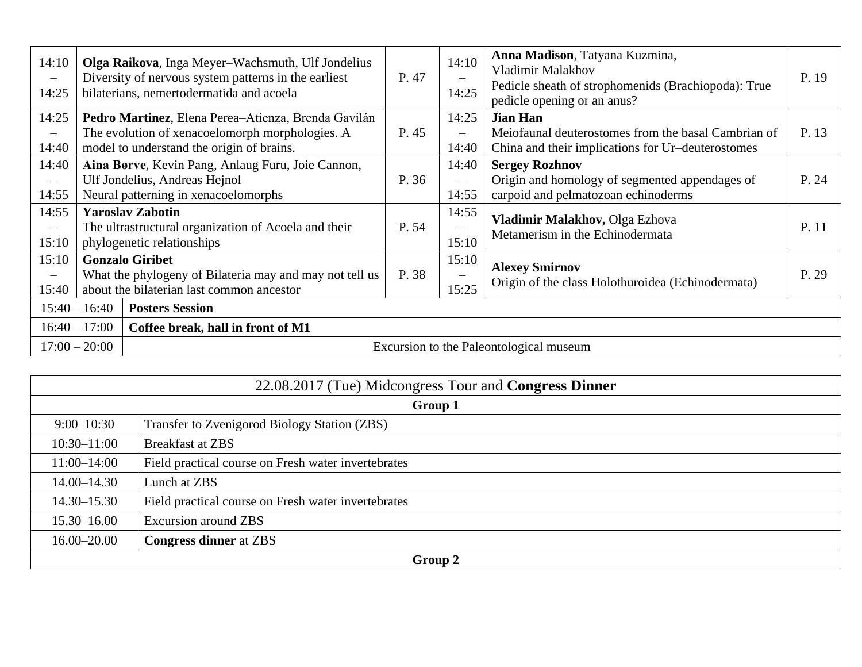| 14:10<br>$\qquad \qquad -$<br>14:25        |                                                                                                                                | Olga Raikova, Inga Meyer-Wachsmuth, Ulf Jondelius<br>Diversity of nervous system patterns in the earliest<br>bilaterians, nemertodermatida and acoela | P. 47 | 14:10<br>14:25                             | Anna Madison, Tatyana Kuzmina,<br>Vladimir Malakhov<br>Pedicle sheath of strophomenids (Brachiopoda): True<br>pedicle opening or an anus? | P. 19 |
|--------------------------------------------|--------------------------------------------------------------------------------------------------------------------------------|-------------------------------------------------------------------------------------------------------------------------------------------------------|-------|--------------------------------------------|-------------------------------------------------------------------------------------------------------------------------------------------|-------|
| 14:25<br>$\qquad \qquad -$<br>14:40        |                                                                                                                                | Pedro Martinez, Elena Perea-Atienza, Brenda Gavilán<br>The evolution of xenacoelomorph morphologies. A<br>model to understand the origin of brains.   | P. 45 | 14:25<br>$\equiv$<br>14:40                 | <b>Jian Han</b><br>Meiofaunal deuterostomes from the basal Cambrian of<br>China and their implications for Ur-deuterostomes               | P. 13 |
| 14:40<br>$\overline{\phantom{0}}$<br>14:55 |                                                                                                                                | Aina Børve, Kevin Pang, Anlaug Furu, Joie Cannon,<br>Ulf Jondelius, Andreas Hejnol<br>Neural patterning in xenacoelomorphs                            | P. 36 | 14:40<br>$\equiv$<br>14:55                 | <b>Sergey Rozhnov</b><br>Origin and homology of segmented appendages of<br>carpoid and pelmatozoan echinoderms                            | P. 24 |
| 14:55<br>$\overline{\phantom{0}}$<br>15:10 |                                                                                                                                | <b>Yaroslav Zabotin</b><br>The ultrastructural organization of Acoela and their<br>phylogenetic relationships                                         | P. 54 | 14:55<br>$\qquad \qquad -$<br>15:10        | Vladimir Malakhov, Olga Ezhova<br>Metamerism in the Echinodermata                                                                         | P. 11 |
| 15:10<br>$\qquad \qquad -$<br>15:40        | <b>Gonzalo Giribet</b><br>What the phylogeny of Bilateria may and may not tell us<br>about the bilaterian last common ancestor |                                                                                                                                                       | P. 38 | 15:10<br>$\overline{\phantom{0}}$<br>15:25 | <b>Alexey Smirnov</b><br>Origin of the class Holothuroidea (Echinodermata)                                                                | P. 29 |
|                                            | $15:40 - 16:40$<br><b>Posters Session</b>                                                                                      |                                                                                                                                                       |       |                                            |                                                                                                                                           |       |
|                                            | $16:40 - 17:00$<br>Coffee break, hall in front of M1                                                                           |                                                                                                                                                       |       |                                            |                                                                                                                                           |       |
|                                            | $17:00 - 20:00$                                                                                                                |                                                                                                                                                       |       |                                            | Excursion to the Paleontological museum                                                                                                   |       |

|                                                  | 22.08.2017 (Tue) Midcongress Tour and Congress Dinner |  |  |
|--------------------------------------------------|-------------------------------------------------------|--|--|
|                                                  | Group 1                                               |  |  |
| $9:00-10:30$                                     | Transfer to Zvenigorod Biology Station (ZBS)          |  |  |
| $10:30 - 11:00$                                  | <b>Breakfast at ZBS</b>                               |  |  |
| $11:00-14:00$                                    | Field practical course on Fresh water invertebrates   |  |  |
| $14.00 - 14.30$                                  | Lunch at ZBS                                          |  |  |
| $14.30 - 15.30$                                  | Field practical course on Fresh water invertebrates   |  |  |
| $15.30 - 16.00$                                  | <b>Excursion around ZBS</b>                           |  |  |
| <b>Congress dinner</b> at ZBS<br>$16.00 - 20.00$ |                                                       |  |  |
| Group 2                                          |                                                       |  |  |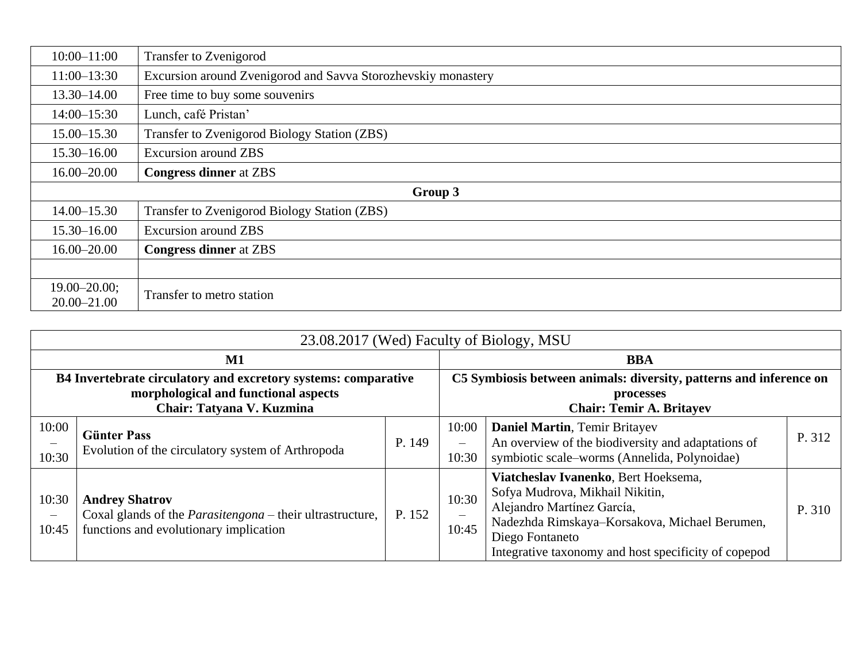| $10:00 - 11:00$                     | <b>Transfer to Zvenigorod</b>                                 |  |  |  |
|-------------------------------------|---------------------------------------------------------------|--|--|--|
| $11:00-13:30$                       | Excursion around Zvenigorod and Savva Storozhevskiy monastery |  |  |  |
| $13.30 - 14.00$                     | Free time to buy some souvenirs                               |  |  |  |
| $14:00 - 15:30$                     | Lunch, café Pristan'                                          |  |  |  |
| $15.00 - 15.30$                     | Transfer to Zvenigorod Biology Station (ZBS)                  |  |  |  |
| $15.30 - 16.00$                     | <b>Excursion around ZBS</b>                                   |  |  |  |
| $16.00 - 20.00$                     | <b>Congress dinner</b> at ZBS                                 |  |  |  |
|                                     | Group 3                                                       |  |  |  |
| $14.00 - 15.30$                     | Transfer to Zvenigorod Biology Station (ZBS)                  |  |  |  |
| $15.30 - 16.00$                     | <b>Excursion around ZBS</b>                                   |  |  |  |
| $16.00 - 20.00$                     | <b>Congress dinner</b> at ZBS                                 |  |  |  |
|                                     |                                                               |  |  |  |
| $19.00 - 20.00;$<br>$20.00 - 21.00$ | Transfer to metro station                                     |  |  |  |

|                                                                                                                                     | 23.08.2017 (Wed) Faculty of Biology, MSU                                                                                            |                                                                                                                    |                                            |                                                                                                                                                                                                                                   |        |  |
|-------------------------------------------------------------------------------------------------------------------------------------|-------------------------------------------------------------------------------------------------------------------------------------|--------------------------------------------------------------------------------------------------------------------|--------------------------------------------|-----------------------------------------------------------------------------------------------------------------------------------------------------------------------------------------------------------------------------------|--------|--|
|                                                                                                                                     | $\mathbf{M1}$                                                                                                                       |                                                                                                                    |                                            | <b>BBA</b>                                                                                                                                                                                                                        |        |  |
| B4 Invertebrate circulatory and excretory systems: comparative<br>morphological and functional aspects<br>Chair: Tatyana V. Kuzmina |                                                                                                                                     | C5 Symbiosis between animals: diversity, patterns and inference on<br>processes<br><b>Chair: Temir A. Britayev</b> |                                            |                                                                                                                                                                                                                                   |        |  |
| 10:00<br>10:30                                                                                                                      | <b>Günter Pass</b><br>Evolution of the circulatory system of Arthropoda                                                             | P. 149                                                                                                             | 10:00<br>10:30                             | <b>Daniel Martin, Temir Britayev</b><br>An overview of the biodiversity and adaptations of<br>symbiotic scale-worms (Annelida, Polynoidae)                                                                                        | P. 312 |  |
| 10:30<br>$\qquad \qquad -$<br>10:45                                                                                                 | <b>Andrey Shatrov</b><br>Coxal glands of the <i>Parasitengona</i> – their ultrastructure,<br>functions and evolutionary implication | P. 152                                                                                                             | 10:30<br>$\overline{\phantom{0}}$<br>10:45 | Viatcheslav Ivanenko, Bert Hoeksema,<br>Sofya Mudrova, Mikhail Nikitin,<br>Alejandro Martínez García,<br>Nadezhda Rimskaya-Korsakova, Michael Berumen,<br>Diego Fontaneto<br>Integrative taxonomy and host specificity of copepod | P. 310 |  |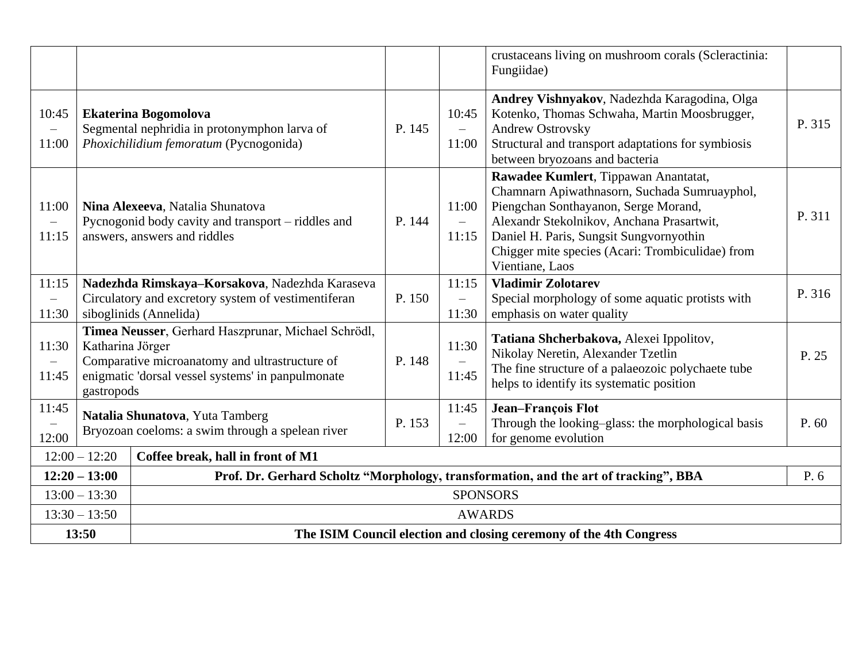|                                            |                                                                             |                                                                                                                                                            |        |                                                                                              | crustaceans living on mushroom corals (Scleractinia:<br>Fungiidae)                                                                                                                                                                                                                          |        |
|--------------------------------------------|-----------------------------------------------------------------------------|------------------------------------------------------------------------------------------------------------------------------------------------------------|--------|----------------------------------------------------------------------------------------------|---------------------------------------------------------------------------------------------------------------------------------------------------------------------------------------------------------------------------------------------------------------------------------------------|--------|
| 10:45<br>$\overline{\phantom{m}}$<br>11:00 |                                                                             | <b>Ekaterina Bogomolova</b><br>Segmental nephridia in protonymphon larva of<br>Phoxichilidium femoratum (Pycnogonida)                                      | P. 145 | 10:45<br>$\equiv$<br>11:00                                                                   | Andrey Vishnyakov, Nadezhda Karagodina, Olga<br>Kotenko, Thomas Schwaha, Martin Moosbrugger,<br><b>Andrew Ostrovsky</b><br>Structural and transport adaptations for symbiosis<br>between bryozoans and bacteria                                                                             | P. 315 |
| 11:00<br>$\overline{\phantom{m}}$<br>11:15 |                                                                             | Nina Alexeeva, Natalia Shunatova<br>Pycnogonid body cavity and transport - riddles and<br>answers, answers and riddles                                     | P. 144 | 11:00<br>$\equiv$<br>11:15                                                                   | Rawadee Kumlert, Tippawan Anantatat,<br>Chamnarn Apiwathnasorn, Suchada Sumruayphol,<br>Piengchan Sonthayanon, Serge Morand,<br>Alexandr Stekolnikov, Anchana Prasartwit,<br>Daniel H. Paris, Sungsit Sungvornyothin<br>Chigger mite species (Acari: Trombiculidae) from<br>Vientiane, Laos | P. 311 |
| 11:15<br>$\overline{\phantom{0}}$<br>11:30 |                                                                             | Nadezhda Rimskaya-Korsakova, Nadezhda Karaseva<br>Circulatory and excretory system of vestimentiferan<br>siboglinids (Annelida)                            | P. 150 | 11:15<br>$\overline{\phantom{0}}$<br>11:30                                                   | <b>Vladimir Zolotarev</b><br>Special morphology of some aquatic protists with<br>emphasis on water quality                                                                                                                                                                                  | P. 316 |
| 11:30<br>$\overline{\phantom{m}}$<br>11:45 | Katharina Jörger<br>gastropods                                              | Timea Neusser, Gerhard Haszprunar, Michael Schrödl,<br>Comparative microanatomy and ultrastructure of<br>enigmatic 'dorsal vessel systems' in panpulmonate | P. 148 | 11:30<br>11:45                                                                               | Tatiana Shcherbakova, Alexei Ippolitov,<br>Nikolay Neretin, Alexander Tzetlin<br>The fine structure of a palaeozoic polychaete tube<br>helps to identify its systematic position                                                                                                            | P. 25  |
| 11:45<br>-<br>12:00                        |                                                                             | Natalia Shunatova, Yuta Tamberg<br>Bryozoan coeloms: a swim through a spelean river                                                                        | P. 153 | 11:45<br>$\overline{\phantom{0}}$<br>12:00                                                   | <b>Jean-François Flot</b><br>Through the looking-glass: the morphological basis<br>for genome evolution                                                                                                                                                                                     | P. 60  |
|                                            | $12:00 - 12:20$<br>Coffee break, hall in front of M1                        |                                                                                                                                                            |        |                                                                                              |                                                                                                                                                                                                                                                                                             |        |
|                                            | $12:20 - 13:00$                                                             |                                                                                                                                                            |        | Prof. Dr. Gerhard Scholtz "Morphology, transformation, and the art of tracking", BBA<br>P. 6 |                                                                                                                                                                                                                                                                                             |        |
|                                            | $13:00 - 13:30$                                                             |                                                                                                                                                            |        |                                                                                              | <b>SPONSORS</b>                                                                                                                                                                                                                                                                             |        |
|                                            | $13:30 - 13:50$                                                             |                                                                                                                                                            |        |                                                                                              | <b>AWARDS</b>                                                                                                                                                                                                                                                                               |        |
|                                            | 13:50<br>The ISIM Council election and closing ceremony of the 4th Congress |                                                                                                                                                            |        |                                                                                              |                                                                                                                                                                                                                                                                                             |        |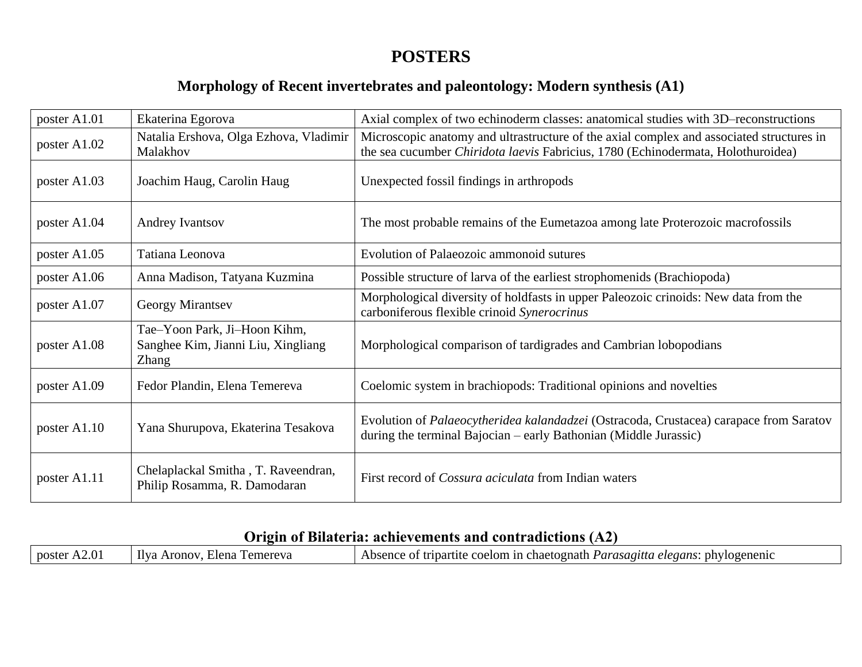# **POSTERS**

#### **Morphology of Recent invertebrates and paleontology: Modern synthesis (A1)**

| poster A1.01   | Ekaterina Egorova                                                                  | Axial complex of two echinoderm classes: anatomical studies with 3D-reconstructions                                                                                          |
|----------------|------------------------------------------------------------------------------------|------------------------------------------------------------------------------------------------------------------------------------------------------------------------------|
| poster A1.02   | Natalia Ershova, Olga Ezhova, Vladimir<br>Malakhov                                 | Microscopic anatomy and ultrastructure of the axial complex and associated structures in<br>the sea cucumber Chiridota laevis Fabricius, 1780 (Echinodermata, Holothuroidea) |
| poster A1.03   | Joachim Haug, Carolin Haug                                                         | Unexpected fossil findings in arthropods                                                                                                                                     |
| poster A1.04   | Andrey Ivantsov                                                                    | The most probable remains of the Eumetazoa among late Proterozoic macrofossils                                                                                               |
| poster A1.05   | Tatiana Leonova                                                                    | Evolution of Palaeozoic ammonoid sutures                                                                                                                                     |
| poster $A1.06$ | Anna Madison, Tatyana Kuzmina                                                      | Possible structure of larva of the earliest strophomenids (Brachiopoda)                                                                                                      |
| poster A1.07   | Georgy Mirantsev                                                                   | Morphological diversity of holdfasts in upper Paleozoic crinoids: New data from the<br>carboniferous flexible crinoid Synerocrinus                                           |
| poster A1.08   | Tae-Yoon Park, Ji-Hoon Kihm,<br>Sanghee Kim, Jianni Liu, Xingliang<br><b>Zhang</b> | Morphological comparison of tardigrades and Cambrian lobopodians                                                                                                             |
| poster A1.09   | Fedor Plandin, Elena Temereva                                                      | Coelomic system in brachiopods: Traditional opinions and novelties                                                                                                           |
| poster A1.10   | Yana Shurupova, Ekaterina Tesakova                                                 | Evolution of Palaeocytheridea kalandadzei (Ostracoda, Crustacea) carapace from Saratov<br>during the terminal Bajocian – early Bathonian (Middle Jurassic)                   |
| poster A1.11   | Chelaplackal Smitha, T. Raveendran,<br>Philip Rosamma, R. Damodaran                | First record of <i>Cossura aciculata</i> from Indian waters                                                                                                                  |

#### **Origin of Bilateria: achievements and contradictions (А2)**

| poster A2.01 | Ilva<br>Elena Temereva<br>. Aronov. | Absence of tripartite coelom in chaetognath <i>Parasagitta elegans</i> : phylogenenic |
|--------------|-------------------------------------|---------------------------------------------------------------------------------------|
|--------------|-------------------------------------|---------------------------------------------------------------------------------------|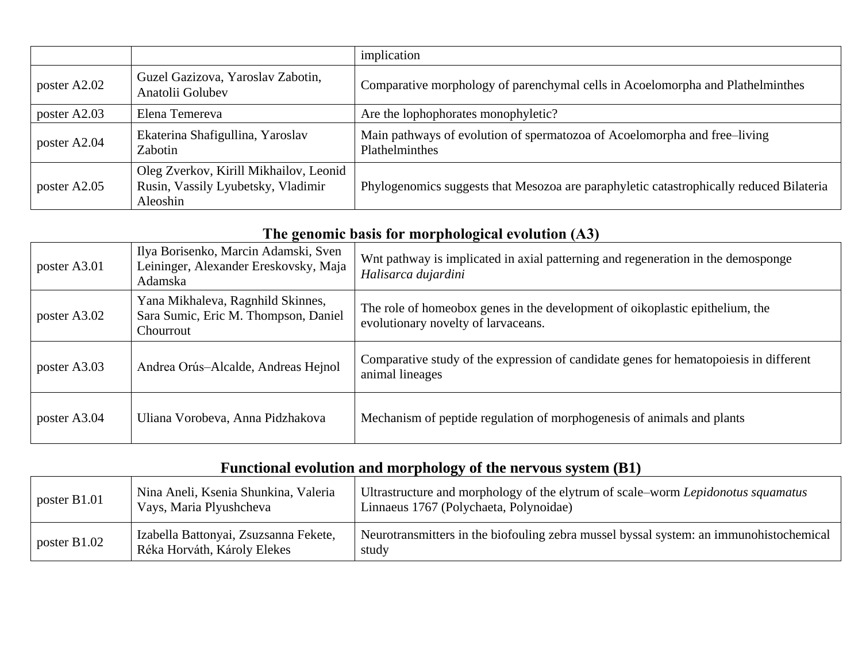|              |                                                                                          | implication                                                                                 |
|--------------|------------------------------------------------------------------------------------------|---------------------------------------------------------------------------------------------|
| poster A2.02 | Guzel Gazizova, Yaroslav Zabotin,<br>Anatolii Golubev                                    | Comparative morphology of parenchymal cells in Acoelomorpha and Plathelminthes              |
| poster A2.03 | Elena Temereva                                                                           | Are the lophophorates monophyletic?                                                         |
| poster A2.04 | Ekaterina Shafigullina, Yaroslav<br>Zabotin                                              | Main pathways of evolution of spermatozoa of Acoelomorpha and free-living<br>Plathelminthes |
| poster A2.05 | Oleg Zverkov, Kirill Mikhailov, Leonid<br>Rusin, Vassily Lyubetsky, Vladimir<br>Aleoshin | Phylogenomics suggests that Mesozoa are paraphyletic catastrophically reduced Bilateria     |

|  |  | The genomic basis for morphological evolution (A3) |  |
|--|--|----------------------------------------------------|--|
|  |  |                                                    |  |

| poster A3.01 | Ilya Borisenko, Marcin Adamski, Sven<br>Leininger, Alexander Ereskovsky, Maja<br>Adamska | Wnt pathway is implicated in axial patterning and regeneration in the demosponge<br>Halisarca dujardini             |
|--------------|------------------------------------------------------------------------------------------|---------------------------------------------------------------------------------------------------------------------|
| poster A3.02 | Yana Mikhaleva, Ragnhild Skinnes,<br>Sara Sumic, Eric M. Thompson, Daniel<br>Chourrout   | The role of homeobox genes in the development of oikoplastic epithelium, the<br>evolutionary novelty of larvaceans. |
| poster A3.03 | Andrea Orús-Alcalde, Andreas Hejnol                                                      | Comparative study of the expression of candidate genes for hematopoies is in different<br>animal lineages           |
| poster A3.04 | Uliana Vorobeva, Anna Pidzhakova                                                         | Mechanism of peptide regulation of morphogenesis of animals and plants                                              |

# **Functional evolution and morphology of the nervous system (B1)**

| poster $B1.01$ | Nina Aneli, Ksenia Shunkina, Valeria<br>Vays, Maria Plyushcheva      | Ultrastructure and morphology of the elytrum of scale–worm Lepidonotus squamatus<br>Linnaeus 1767 (Polychaeta, Polynoidae) |
|----------------|----------------------------------------------------------------------|----------------------------------------------------------------------------------------------------------------------------|
| poster B1.02   | Izabella Battonyai, Zsuzsanna Fekete,<br>Réka Horváth, Károly Elekes | Neurotransmitters in the biofouling zebra mussel byssal system: an immunohistochemical<br>study                            |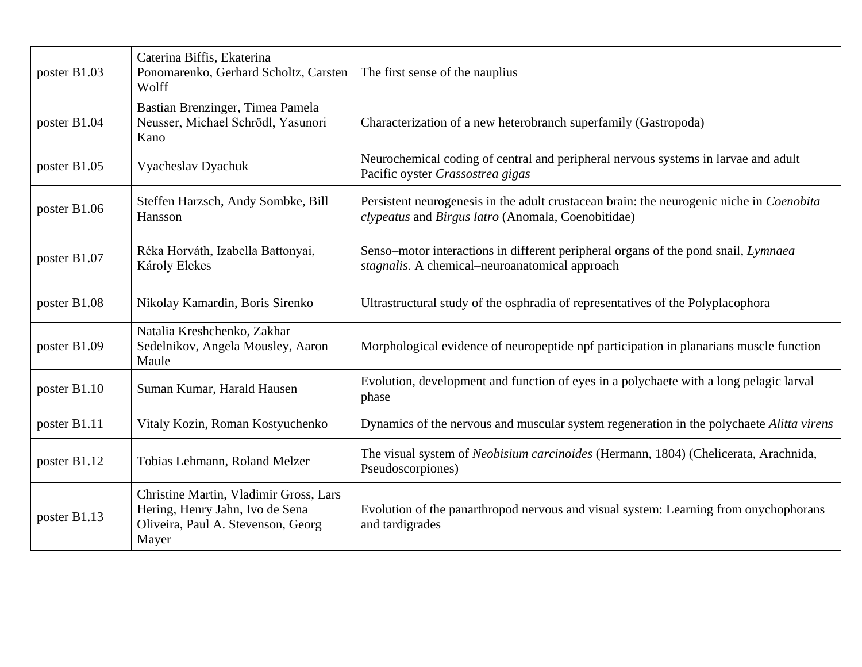| poster B1.03 | Caterina Biffis, Ekaterina<br>Ponomarenko, Gerhard Scholtz, Carsten<br>Wolff                                             | The first sense of the nauplius                                                                                                                |
|--------------|--------------------------------------------------------------------------------------------------------------------------|------------------------------------------------------------------------------------------------------------------------------------------------|
| poster B1.04 | Bastian Brenzinger, Timea Pamela<br>Neusser, Michael Schrödl, Yasunori<br>Kano                                           | Characterization of a new heterobranch superfamily (Gastropoda)                                                                                |
| poster B1.05 | Vyacheslav Dyachuk                                                                                                       | Neurochemical coding of central and peripheral nervous systems in larvae and adult<br>Pacific oyster Crassostrea gigas                         |
| poster B1.06 | Steffen Harzsch, Andy Sombke, Bill<br>Hansson                                                                            | Persistent neurogenesis in the adult crustacean brain: the neurogenic niche in Coenobita<br>clypeatus and Birgus latro (Anomala, Coenobitidae) |
| poster B1.07 | Réka Horváth, Izabella Battonyai,<br>Károly Elekes                                                                       | Senso–motor interactions in different peripheral organs of the pond snail, Lymnaea<br>stagnalis. A chemical-neuroanatomical approach           |
| poster B1.08 | Nikolay Kamardin, Boris Sirenko                                                                                          | Ultrastructural study of the osphradia of representatives of the Polyplacophora                                                                |
| poster B1.09 | Natalia Kreshchenko, Zakhar<br>Sedelnikov, Angela Mousley, Aaron<br>Maule                                                | Morphological evidence of neuropeptide npf participation in planarians muscle function                                                         |
| poster B1.10 | Suman Kumar, Harald Hausen                                                                                               | Evolution, development and function of eyes in a polychaete with a long pelagic larval<br>phase                                                |
| poster B1.11 | Vitaly Kozin, Roman Kostyuchenko                                                                                         | Dynamics of the nervous and muscular system regeneration in the polychaete Alitta virens                                                       |
| poster B1.12 | Tobias Lehmann, Roland Melzer                                                                                            | The visual system of Neobisium carcinoides (Hermann, 1804) (Chelicerata, Arachnida,<br>Pseudoscorpiones)                                       |
| poster B1.13 | Christine Martin, Vladimir Gross, Lars<br>Hering, Henry Jahn, Ivo de Sena<br>Oliveira, Paul A. Stevenson, Georg<br>Mayer | Evolution of the panarthropod nervous and visual system: Learning from onychophorans<br>and tardigrades                                        |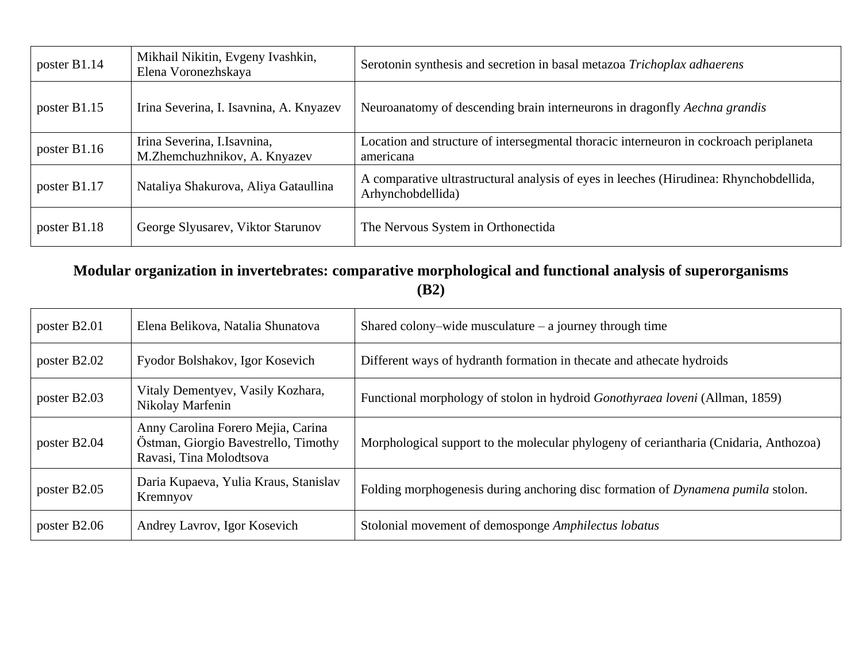| poster B1.14 | Mikhail Nikitin, Evgeny Ivashkin,<br>Elena Voronezhskaya    | Serotonin synthesis and secretion in basal metazoa Trichoplax adhaerens                                     |
|--------------|-------------------------------------------------------------|-------------------------------------------------------------------------------------------------------------|
| poster B1.15 | Irina Severina, I. Isavnina, A. Knyazev                     | Neuroanatomy of descending brain interneurons in dragonfly Aechna grandis                                   |
| poster B1.16 | Irina Severina, I.Isavnina,<br>M.Zhemchuzhnikov, A. Knyazev | Location and structure of intersegmental thoracic interneuron in cockroach periplaneta<br>americana         |
| poster B1.17 | Nataliya Shakurova, Aliya Gataullina                        | A comparative ultrastructural analysis of eyes in leeches (Hirudinea: Rhynchobdellida,<br>Arhynchobdellida) |
| poster B1.18 | George Slyusarev, Viktor Starunov                           | The Nervous System in Orthonectida                                                                          |

#### **Modular organization in invertebrates: comparative morphological and functional analysis of superorganisms (B2)**

| poster B2.01 | Elena Belikova, Natalia Shunatova                                                                     | Shared colony-wide musculature $-$ a journey through time                             |
|--------------|-------------------------------------------------------------------------------------------------------|---------------------------------------------------------------------------------------|
| poster B2.02 | Fyodor Bolshakov, Igor Kosevich                                                                       | Different ways of hydranth formation in the cate and athecate hydroids                |
| poster B2.03 | Vitaly Dementyev, Vasily Kozhara,<br>Nikolay Marfenin                                                 | Functional morphology of stolon in hydroid <i>Gonothyraea loveni</i> (Allman, 1859)   |
| poster B2.04 | Anny Carolina Forero Mejia, Carina<br>Östman, Giorgio Bavestrello, Timothy<br>Ravasi, Tina Molodtsova | Morphological support to the molecular phylogeny of ceriantharia (Cnidaria, Anthozoa) |
| poster B2.05 | Daria Kupaeva, Yulia Kraus, Stanislav<br>Kremnyov                                                     | Folding morphogenesis during anchoring disc formation of Dynamena pumila stolon.      |
| poster B2.06 | Andrey Lavrov, Igor Kosevich                                                                          | Stolonial movement of demosponge Amphilectus lobatus                                  |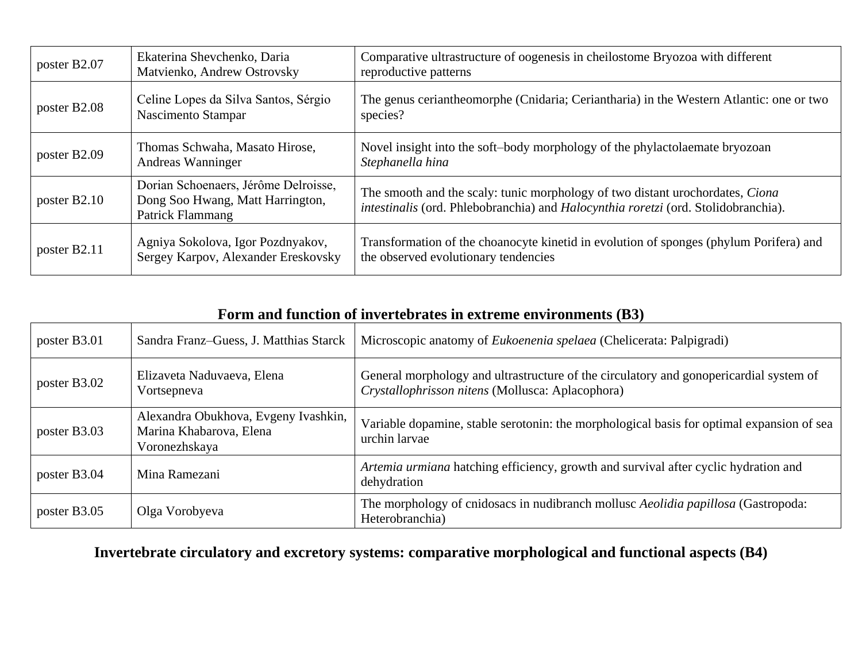| poster B2.07 | Ekaterina Shevchenko, Daria<br>Matvienko, Andrew Ostrovsky                                   | Comparative ultrastructure of oogenesis in cheilostome Bryozoa with different<br>reproductive patterns                                                              |
|--------------|----------------------------------------------------------------------------------------------|---------------------------------------------------------------------------------------------------------------------------------------------------------------------|
| poster B2.08 | Celine Lopes da Silva Santos, Sérgio<br>Nascimento Stampar                                   | The genus ceriantheomorphe (Cnidaria; Ceriantharia) in the Western Atlantic: one or two<br>species?                                                                 |
| poster B2.09 | Thomas Schwaha, Masato Hirose,<br>Andreas Wanninger                                          | Novel insight into the soft-body morphology of the phylactolae mate bryozoan<br>Stephanella hina                                                                    |
| poster B2.10 | Dorian Schoenaers, Jérôme Delroisse,<br>Dong Soo Hwang, Matt Harrington,<br>Patrick Flammang | The smooth and the scaly: tunic morphology of two distant urochordates, Ciona<br>intestinalis (ord. Phlebobranchia) and Halocynthia roretzi (ord. Stolidobranchia). |
| poster B2.11 | Agniya Sokolova, Igor Pozdnyakov,<br>Sergey Karpov, Alexander Ereskovsky                     | Transformation of the choanocyte kinetid in evolution of sponges (phylum Porifera) and<br>the observed evolutionary tendencies                                      |

| Form and function of invertebrates in extreme environments (B3) |
|-----------------------------------------------------------------|
|-----------------------------------------------------------------|

| poster B3.01 | Sandra Franz-Guess, J. Matthias Starck                                           | Microscopic anatomy of Eukoenenia spelaea (Chelicerata: Palpigradi)                                                                        |
|--------------|----------------------------------------------------------------------------------|--------------------------------------------------------------------------------------------------------------------------------------------|
| poster B3.02 | Elizaveta Naduvaeva, Elena<br>Vortsepneva                                        | General morphology and ultrastructure of the circulatory and gonopericardial system of<br>Crystallophrisson nitens (Mollusca: Aplacophora) |
| poster B3.03 | Alexandra Obukhova, Evgeny Ivashkin,<br>Marina Khabarova, Elena<br>Voronezhskaya | Variable dopamine, stable serotonin: the morphological basis for optimal expansion of sea<br>urchin larvae                                 |
| poster B3.04 | Mina Ramezani                                                                    | Artemia urmiana hatching efficiency, growth and survival after cyclic hydration and<br>dehydration                                         |
| poster B3.05 | Olga Vorobyeva                                                                   | The morphology of cnidosacs in nudibranch mollusc Aeolidia papillosa (Gastropoda:<br>Heterobranchia)                                       |

# **Invertebrate circulatory and excretory systems: comparative morphological and functional aspects (B4)**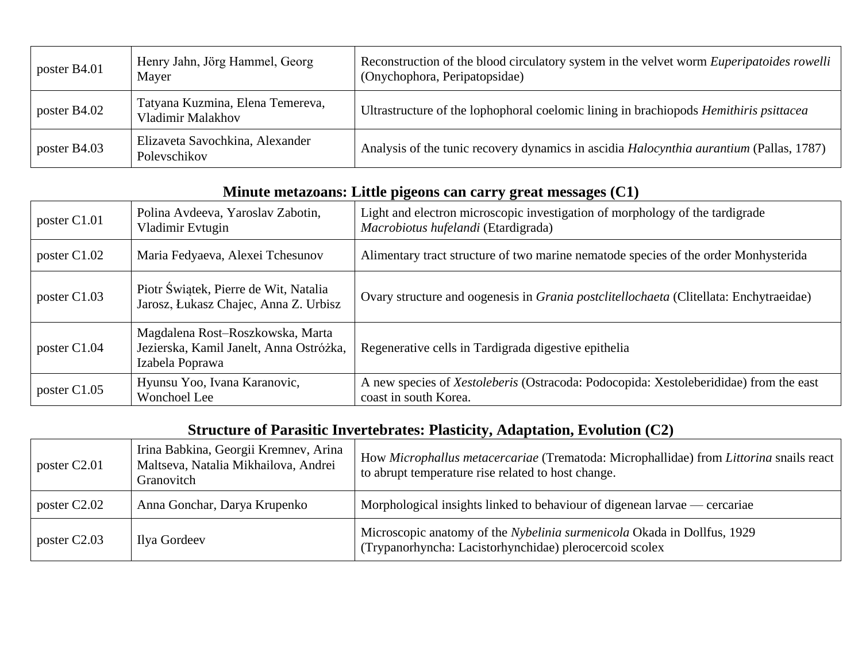| poster B4.01 | Henry Jahn, Jörg Hammel, Georg<br>Mayer               | Reconstruction of the blood circulatory system in the velvet worm <i>Euperipatoides rowelli</i><br>(Onychophora, Peripatopsidae) |
|--------------|-------------------------------------------------------|----------------------------------------------------------------------------------------------------------------------------------|
| poster B4.02 | Tatyana Kuzmina, Elena Temereva,<br>Vladimir Malakhov | Ultrastructure of the lophophoral coelomic lining in brachiopods <i>Hemithiris psittacea</i>                                     |
| poster B4.03 | Elizaveta Savochkina, Alexander<br>Poleyschikov       | Analysis of the tunic recovery dynamics in ascidia <i>Halocynthia aurantium</i> (Pallas, 1787)                                   |

### **Minute metazoans: Little pigeons can carry great messages (C1)**

| poster C1.01 | Polina Avdeeva, Yaroslav Zabotin,<br>Vladimir Evtugin                                          | Light and electron microscopic investigation of morphology of the tardigrade<br>Macrobiotus hufelandi (Etardigrada) |
|--------------|------------------------------------------------------------------------------------------------|---------------------------------------------------------------------------------------------------------------------|
| poster C1.02 | Maria Fedyaeva, Alexei Tchesunov                                                               | Alimentary tract structure of two marine nematode species of the order Monhysterida                                 |
| poster C1.03 | Piotr Świątek, Pierre de Wit, Natalia<br>Jarosz, Łukasz Chajec, Anna Z. Urbisz                 | Ovary structure and oogenesis in <i>Grania postclitellochaeta</i> (Clitellata: Enchytraeidae)                       |
| poster C1.04 | Magdalena Rost-Roszkowska, Marta<br>Jezierska, Kamil Janelt, Anna Ostróżka,<br>Izabela Poprawa | Regenerative cells in Tardigrada digestive epithelia                                                                |
| poster C1.05 | Hyunsu Yoo, Ivana Karanovic,<br>Wonchoel Lee                                                   | A new species of Xestoleberis (Ostracoda: Podocopida: Xestoleberididae) from the east<br>coast in south Korea.      |

#### **Structure of Parasitic Invertebrates: Plasticity, Adaptation, Evolution (C2)**

| poster C <sub>2.01</sub> | Irina Babkina, Georgii Kremnev, Arina<br>Maltseva, Natalia Mikhailova, Andrei<br>Granovitch | How Microphallus metacercariae (Trematoda: Microphallidae) from Littorina snails react<br>to abrupt temperature rise related to host change. |
|--------------------------|---------------------------------------------------------------------------------------------|----------------------------------------------------------------------------------------------------------------------------------------------|
| poster C <sub>2.02</sub> | Anna Gonchar, Darya Krupenko                                                                | Morphological insights linked to behaviour of digenean larvae — cercariae                                                                    |
| poster C <sub>2.03</sub> | Ilya Gordeev                                                                                | Microscopic anatomy of the Nybelinia surmenicola Okada in Dollfus, 1929<br>(Trypanorhyncha: Lacistorhynchidae) plerocercoid scolex           |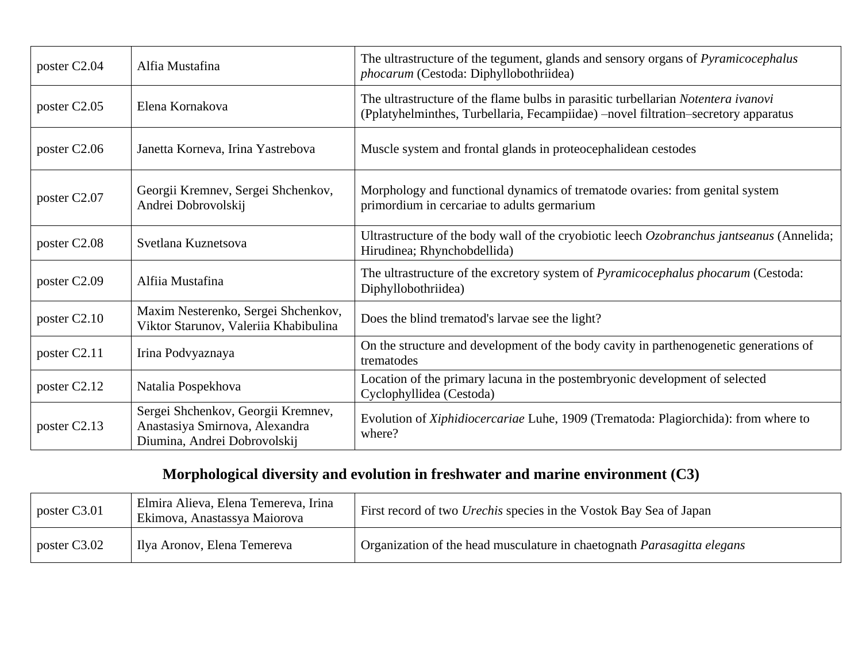| poster C2.04             | Alfia Mustafina                                                                                      | The ultrastructure of the tegument, glands and sensory organs of <i>Pyramicocephalus</i><br>phocarum (Cestoda: Diphyllobothriidea)                                      |
|--------------------------|------------------------------------------------------------------------------------------------------|-------------------------------------------------------------------------------------------------------------------------------------------------------------------------|
| poster C2.05             | Elena Kornakova                                                                                      | The ultrastructure of the flame bulbs in parasitic turbellarian Notentera ivanovi<br>(Pplatyhelminthes, Turbellaria, Fecampiidae) -novel filtration-secretory apparatus |
| poster C2.06             | Janetta Korneva, Irina Yastrebova                                                                    | Muscle system and frontal glands in proteocephalidean cestodes                                                                                                          |
| poster C2.07             | Georgii Kremnev, Sergei Shchenkov,<br>Andrei Dobrovolskij                                            | Morphology and functional dynamics of trematode ovaries: from genital system<br>primordium in cercariae to adults germarium                                             |
| poster C2.08             | Svetlana Kuznetsova                                                                                  | Ultrastructure of the body wall of the cryobiotic leech Ozobranchus jantseanus (Annelida;<br>Hirudinea; Rhynchobdellida)                                                |
| poster C2.09             | Alfiia Mustafina                                                                                     | The ultrastructure of the excretory system of <i>Pyramicocephalus phocarum</i> (Cestoda:<br>Diphyllobothriidea)                                                         |
| poster C2.10             | Maxim Nesterenko, Sergei Shchenkov,<br>Viktor Starunov, Valeriia Khabibulina                         | Does the blind trematod's larvae see the light?                                                                                                                         |
| poster C2.11             | Irina Podvyaznaya                                                                                    | On the structure and development of the body cavity in parthenogenetic generations of<br>trematodes                                                                     |
| poster C <sub>2.12</sub> | Natalia Pospekhova                                                                                   | Location of the primary lacuna in the postembryonic development of selected<br>Cyclophyllidea (Cestoda)                                                                 |
| poster C2.13             | Sergei Shchenkov, Georgii Kremnev,<br>Anastasiya Smirnova, Alexandra<br>Diumina, Andrei Dobrovolskij | Evolution of Xiphidiocercariae Luhe, 1909 (Trematoda: Plagiorchida): from where to<br>where?                                                                            |

# **Morphological diversity and evolution in freshwater and marine environment (C3)**

| poster C3.01 | Elmira Alieva, Elena Temereva, Irina<br>Ekimova, Anastassya Maiorova | First record of two <i>Urechis</i> species in the Vostok Bay Sea of Japan      |
|--------------|----------------------------------------------------------------------|--------------------------------------------------------------------------------|
| poster C3.02 | Ilya Aronov, Elena Temereva                                          | Organization of the head musculature in chaetognath <i>Parasagitta elegans</i> |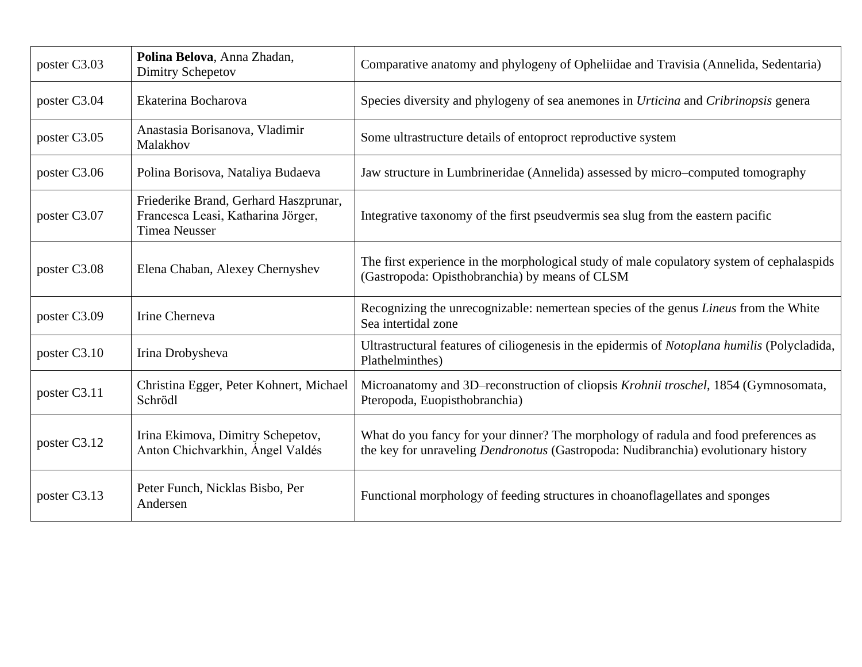| poster C3.03 | Polina Belova, Anna Zhadan,<br>Dimitry Schepetov                                                    | Comparative anatomy and phylogeny of Opheliidae and Travisia (Annelida, Sedentaria)                                                                                              |
|--------------|-----------------------------------------------------------------------------------------------------|----------------------------------------------------------------------------------------------------------------------------------------------------------------------------------|
| poster C3.04 | Ekaterina Bocharova                                                                                 | Species diversity and phylogeny of sea anemones in Urticina and Cribrinopsis genera                                                                                              |
| poster C3.05 | Anastasia Borisanova, Vladimir<br>Malakhov                                                          | Some ultrastructure details of entoproct reproductive system                                                                                                                     |
| poster C3.06 | Polina Borisova, Nataliya Budaeva                                                                   | Jaw structure in Lumbrineridae (Annelida) assessed by micro-computed tomography                                                                                                  |
| poster C3.07 | Friederike Brand, Gerhard Haszprunar,<br>Francesca Leasi, Katharina Jörger,<br><b>Timea Neusser</b> | Integrative taxonomy of the first pseudvermis sea slug from the eastern pacific                                                                                                  |
| poster C3.08 | Elena Chaban, Alexey Chernyshev                                                                     | The first experience in the morphological study of male copulatory system of cephalaspids<br>(Gastropoda: Opisthobranchia) by means of CLSM                                      |
| poster C3.09 | Irine Cherneva                                                                                      | Recognizing the unrecognizable: nemertean species of the genus <i>Lineus</i> from the White<br>Sea intertidal zone                                                               |
| poster C3.10 | Irina Drobysheva                                                                                    | Ultrastructural features of ciliogenesis in the epidermis of Notoplana humilis (Polycladida,<br>Plathelminthes)                                                                  |
| poster C3.11 | Christina Egger, Peter Kohnert, Michael<br>Schrödl                                                  | Microanatomy and 3D-reconstruction of cliopsis Krohnii troschel, 1854 (Gymnosomata,<br>Pteropoda, Euopisthobranchia)                                                             |
| poster C3.12 | Irina Ekimova, Dimitry Schepetov,<br>Anton Chichvarkhin, Ángel Valdés                               | What do you fancy for your dinner? The morphology of radula and food preferences as<br>the key for unraveling <i>Dendronotus</i> (Gastropoda: Nudibranchia) evolutionary history |
| poster C3.13 | Peter Funch, Nicklas Bisbo, Per<br>Andersen                                                         | Functional morphology of feeding structures in choanoflagellates and sponges                                                                                                     |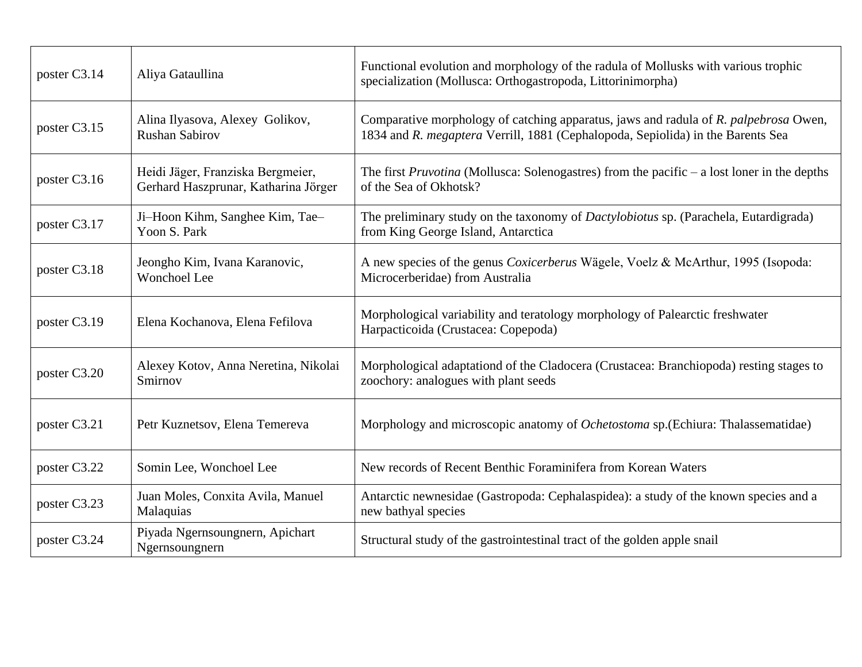| poster C3.14 | Aliya Gataullina                                                          | Functional evolution and morphology of the radula of Mollusks with various trophic<br>specialization (Mollusca: Orthogastropoda, Littorinimorpha)                       |
|--------------|---------------------------------------------------------------------------|-------------------------------------------------------------------------------------------------------------------------------------------------------------------------|
| poster C3.15 | Alina Ilyasova, Alexey Golikov,<br><b>Rushan Sabirov</b>                  | Comparative morphology of catching apparatus, jaws and radula of R. palpebrosa Owen,<br>1834 and R. megaptera Verrill, 1881 (Cephalopoda, Sepiolida) in the Barents Sea |
| poster C3.16 | Heidi Jäger, Franziska Bergmeier,<br>Gerhard Haszprunar, Katharina Jörger | The first <i>Pruvotina</i> (Mollusca: Solenogastres) from the pacific $-$ a lost loner in the depths<br>of the Sea of Okhotsk?                                          |
| poster C3.17 | Ji-Hoon Kihm, Sanghee Kim, Tae-<br>Yoon S. Park                           | The preliminary study on the taxonomy of <i>Dactylobiotus</i> sp. (Parachela, Eutardigrada)<br>from King George Island, Antarctica                                      |
| poster C3.18 | Jeongho Kim, Ivana Karanovic,<br>Wonchoel Lee                             | A new species of the genus Coxicerberus Wägele, Voelz & McArthur, 1995 (Isopoda:<br>Microcerberidae) from Australia                                                     |
| poster C3.19 | Elena Kochanova, Elena Fefilova                                           | Morphological variability and teratology morphology of Palearctic freshwater<br>Harpacticoida (Crustacea: Copepoda)                                                     |
| poster C3.20 | Alexey Kotov, Anna Neretina, Nikolai<br>Smirnov                           | Morphological adaptationd of the Cladocera (Crustacea: Branchiopoda) resting stages to<br>zoochory: analogues with plant seeds                                          |
| poster C3.21 | Petr Kuznetsov, Elena Temereva                                            | Morphology and microscopic anatomy of <i>Ochetostoma</i> sp. (Echiura: Thalassematidae)                                                                                 |
| poster C3.22 | Somin Lee, Wonchoel Lee                                                   | New records of Recent Benthic Foraminifera from Korean Waters                                                                                                           |
| poster C3.23 | Juan Moles, Conxita Avila, Manuel<br>Malaquias                            | Antarctic newnesidae (Gastropoda: Cephalaspidea): a study of the known species and a<br>new bathyal species                                                             |
| poster C3.24 | Piyada Ngernsoungnern, Apichart<br>Ngernsoungnern                         | Structural study of the gastrointestinal tract of the golden apple snail                                                                                                |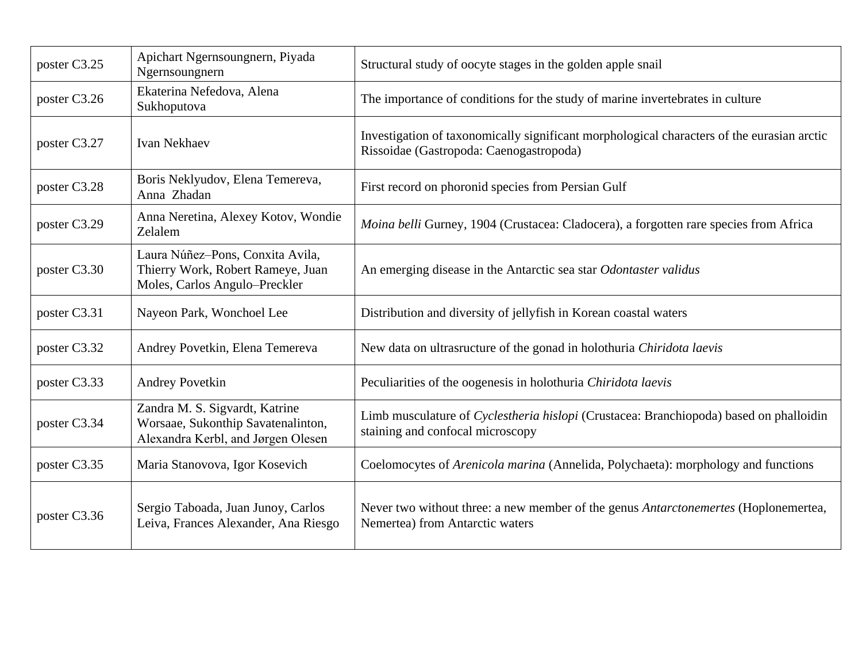| poster C3.25 | Apichart Ngernsoungnern, Piyada<br>Ngernsoungnern                                                          | Structural study of oocyte stages in the golden apple snail                                                                           |
|--------------|------------------------------------------------------------------------------------------------------------|---------------------------------------------------------------------------------------------------------------------------------------|
| poster C3.26 | Ekaterina Nefedova, Alena<br>Sukhoputova                                                                   | The importance of conditions for the study of marine invertebrates in culture                                                         |
| poster C3.27 | <b>Ivan Nekhaev</b>                                                                                        | Investigation of taxonomically significant morphological characters of the eurasian arctic<br>Rissoidae (Gastropoda: Caenogastropoda) |
| poster C3.28 | Boris Neklyudov, Elena Temereva,<br>Anna Zhadan                                                            | First record on phoronid species from Persian Gulf                                                                                    |
| poster C3.29 | Anna Neretina, Alexey Kotov, Wondie<br>Zelalem                                                             | Moina belli Gurney, 1904 (Crustacea: Cladocera), a forgotten rare species from Africa                                                 |
| poster C3.30 | Laura Núñez-Pons, Conxita Avila,<br>Thierry Work, Robert Rameye, Juan<br>Moles, Carlos Angulo-Preckler     | An emerging disease in the Antarctic sea star Odontaster validus                                                                      |
| poster C3.31 | Nayeon Park, Wonchoel Lee                                                                                  | Distribution and diversity of jellyfish in Korean coastal waters                                                                      |
| poster C3.32 | Andrey Povetkin, Elena Temereva                                                                            | New data on ultrasructure of the gonad in holothuria Chiridota laevis                                                                 |
| poster C3.33 | <b>Andrey Povetkin</b>                                                                                     | Peculiarities of the oogenesis in holothuria Chiridota laevis                                                                         |
| poster C3.34 | Zandra M. S. Sigvardt, Katrine<br>Worsaae, Sukonthip Savatenalinton,<br>Alexandra Kerbl, and Jørgen Olesen | Limb musculature of Cyclestheria hislopi (Crustacea: Branchiopoda) based on phalloidin<br>staining and confocal microscopy            |
| poster C3.35 | Maria Stanovova, Igor Kosevich                                                                             | Coelomocytes of Arenicola marina (Annelida, Polychaeta): morphology and functions                                                     |
| poster C3.36 | Sergio Taboada, Juan Junoy, Carlos<br>Leiva, Frances Alexander, Ana Riesgo                                 | Never two without three: a new member of the genus <i>Antarctonemertes</i> (Hoplonemertea,<br>Nemertea) from Antarctic waters         |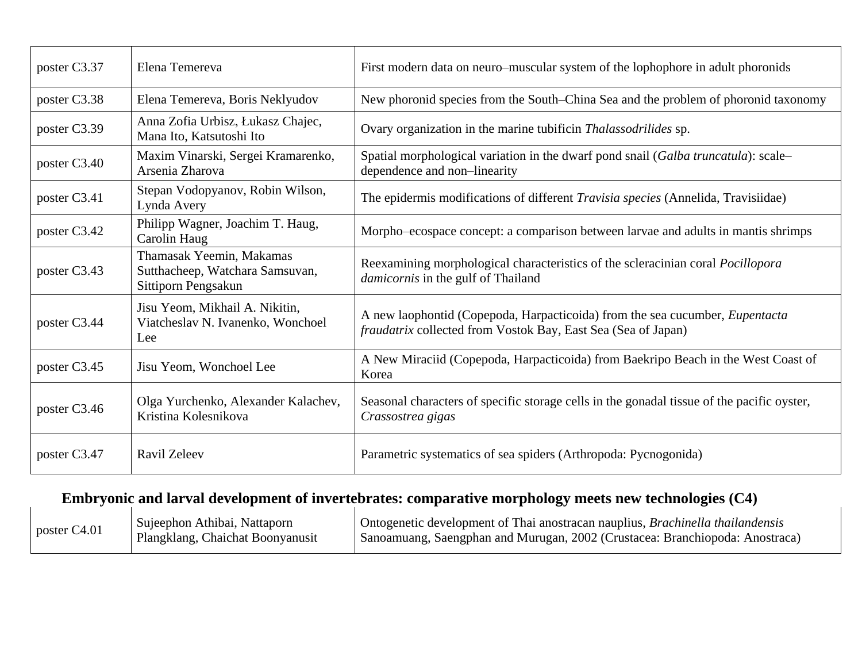| poster C3.37 | Elena Temereva                                                                     | First modern data on neuro–muscular system of the lophophore in adult phoronids                                                                      |
|--------------|------------------------------------------------------------------------------------|------------------------------------------------------------------------------------------------------------------------------------------------------|
| poster C3.38 | Elena Temereva, Boris Neklyudov                                                    | New phoronid species from the South–China Sea and the problem of phoronid taxonomy                                                                   |
| poster C3.39 | Anna Zofia Urbisz, Łukasz Chajec,<br>Mana Ito, Katsutoshi Ito                      | Ovary organization in the marine tubificin Thalassodrilides sp.                                                                                      |
| poster C3.40 | Maxim Vinarski, Sergei Kramarenko,<br>Arsenia Zharova                              | Spatial morphological variation in the dwarf pond snail (Galba truncatula): scale-<br>dependence and non-linearity                                   |
| poster C3.41 | Stepan Vodopyanov, Robin Wilson,<br>Lynda Avery                                    | The epidermis modifications of different <i>Travisia species</i> (Annelida, Travisiidae)                                                             |
| poster C3.42 | Philipp Wagner, Joachim T. Haug,<br>Carolin Haug                                   | Morpho-ecospace concept: a comparison between larvae and adults in mantis shrimps                                                                    |
| poster C3.43 | Thamasak Yeemin, Makamas<br>Sutthacheep, Watchara Samsuvan,<br>Sittiporn Pengsakun | Reexamining morphological characteristics of the scleracinian coral Pocillopora<br><i>damicornis</i> in the gulf of Thailand                         |
| poster C3.44 | Jisu Yeom, Mikhail A. Nikitin,<br>Viatcheslav N. Ivanenko, Wonchoel<br>Lee         | A new laophontid (Copepoda, Harpacticoida) from the sea cucumber, <i>Eupentacta</i><br>fraudatrix collected from Vostok Bay, East Sea (Sea of Japan) |
| poster C3.45 | Jisu Yeom, Wonchoel Lee                                                            | A New Miraciid (Copepoda, Harpacticoida) from Baekripo Beach in the West Coast of<br>Korea                                                           |
| poster C3.46 | Olga Yurchenko, Alexander Kalachev,<br>Kristina Kolesnikova                        | Seasonal characters of specific storage cells in the gonadal tissue of the pacific oyster,<br>Crassostrea gigas                                      |
| poster C3.47 | <b>Ravil Zeleev</b>                                                                | Parametric systematics of sea spiders (Arthropoda: Pycnogonida)                                                                                      |

# **Embryonic and larval development of invertebrates: comparative morphology meets new technologies (C4)**

| poster $C4.01$ | Sujeephon Athibai, Nattaporn     | Ontogenetic development of Thai anostracan nauplius, <i>Brachinella thailandensis</i> |
|----------------|----------------------------------|---------------------------------------------------------------------------------------|
|                | Plangklang, Chaichat Boonyanusit | Sanoamuang, Saengphan and Murugan, 2002 (Crustacea: Branchiopoda: Anostraca)          |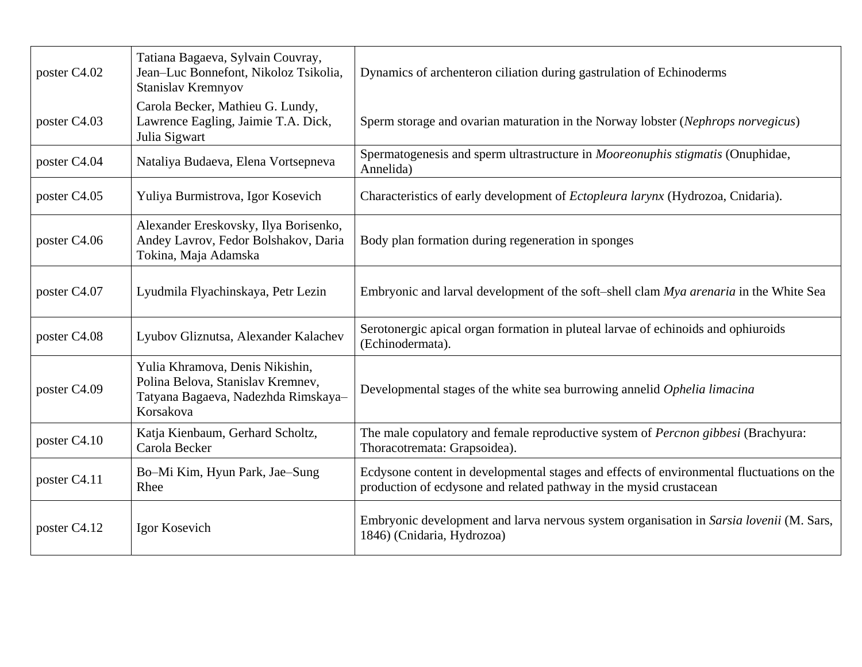| poster C4.02 | Tatiana Bagaeva, Sylvain Couvray,<br>Jean-Luc Bonnefont, Nikoloz Tsikolia,<br>Stanislav Kremnyov                         | Dynamics of archenteron ciliation during gastrulation of Echinoderms                                                                                            |
|--------------|--------------------------------------------------------------------------------------------------------------------------|-----------------------------------------------------------------------------------------------------------------------------------------------------------------|
| poster C4.03 | Carola Becker, Mathieu G. Lundy,<br>Lawrence Eagling, Jaimie T.A. Dick,<br>Julia Sigwart                                 | Sperm storage and ovarian maturation in the Norway lobster (Nephrops norvegicus)                                                                                |
| poster C4.04 | Nataliya Budaeva, Elena Vortsepneva                                                                                      | Spermatogenesis and sperm ultrastructure in Mooreonuphis stigmatis (Onuphidae,<br>Annelida)                                                                     |
| poster C4.05 | Yuliya Burmistrova, Igor Kosevich                                                                                        | Characteristics of early development of Ectopleura larynx (Hydrozoa, Cnidaria).                                                                                 |
| poster C4.06 | Alexander Ereskovsky, Ilya Borisenko,<br>Andey Lavrov, Fedor Bolshakov, Daria<br>Tokina, Maja Adamska                    | Body plan formation during regeneration in sponges                                                                                                              |
| poster C4.07 | Lyudmila Flyachinskaya, Petr Lezin                                                                                       | Embryonic and larval development of the soft-shell clam Mya arenaria in the White Sea                                                                           |
| poster C4.08 | Lyubov Gliznutsa, Alexander Kalachev                                                                                     | Serotonergic apical organ formation in pluteal larvae of echinoids and ophiuroids<br>(Echinodermata).                                                           |
| poster C4.09 | Yulia Khramova, Denis Nikishin,<br>Polina Belova, Stanislav Kremnev,<br>Tatyana Bagaeva, Nadezhda Rimskaya-<br>Korsakova | Developmental stages of the white sea burrowing annelid Ophelia limacina                                                                                        |
| poster C4.10 | Katja Kienbaum, Gerhard Scholtz,<br>Carola Becker                                                                        | The male copulatory and female reproductive system of <i>Percnon gibbesi</i> (Brachyura:<br>Thoracotremata: Grapsoidea).                                        |
| poster C4.11 | Bo-Mi Kim, Hyun Park, Jae-Sung<br>Rhee                                                                                   | Ecdysone content in developmental stages and effects of environmental fluctuations on the<br>production of ecdysone and related pathway in the mysid crustacean |
| poster C4.12 | Igor Kosevich                                                                                                            | Embryonic development and larva nervous system organisation in Sarsia lovenii (M. Sars,<br>1846) (Cnidaria, Hydrozoa)                                           |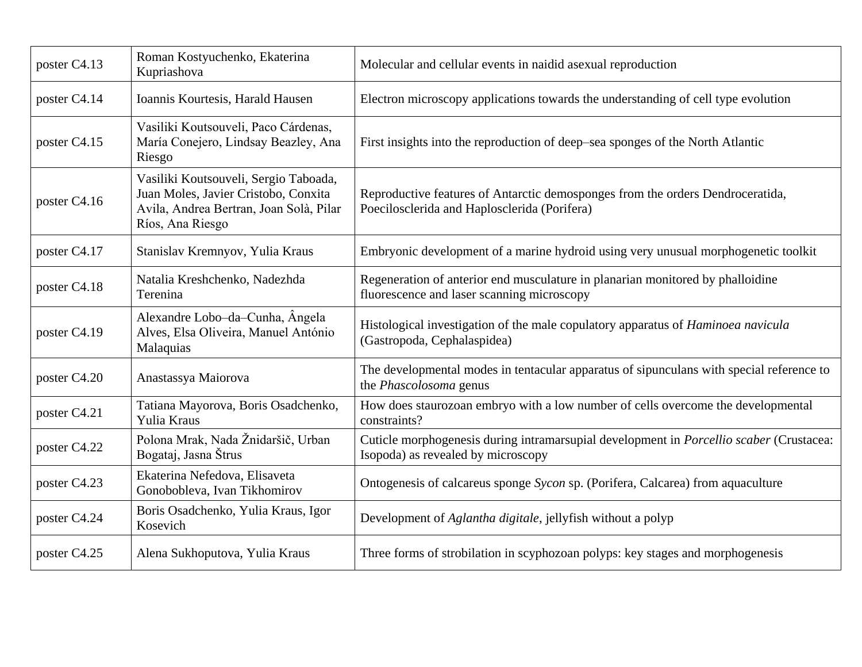| poster C4.13 | Roman Kostyuchenko, Ekaterina<br>Kupriashova                                                                                                 | Molecular and cellular events in naidid asexual reproduction                                                                   |
|--------------|----------------------------------------------------------------------------------------------------------------------------------------------|--------------------------------------------------------------------------------------------------------------------------------|
| poster C4.14 | Ioannis Kourtesis, Harald Hausen                                                                                                             | Electron microscopy applications towards the understanding of cell type evolution                                              |
| poster C4.15 | Vasiliki Koutsouveli, Paco Cárdenas,<br>María Conejero, Lindsay Beazley, Ana<br>Riesgo                                                       | First insights into the reproduction of deep–sea sponges of the North Atlantic                                                 |
| poster C4.16 | Vasiliki Koutsouveli, Sergio Taboada,<br>Juan Moles, Javier Cristobo, Conxita<br>Avila, Andrea Bertran, Joan Solà, Pilar<br>Ríos, Ana Riesgo | Reproductive features of Antarctic demosponges from the orders Dendroceratida,<br>Poecilosclerida and Haplosclerida (Porifera) |
| poster C4.17 | Stanislav Kremnyov, Yulia Kraus                                                                                                              | Embryonic development of a marine hydroid using very unusual morphogenetic toolkit                                             |
| poster C4.18 | Natalia Kreshchenko, Nadezhda<br>Terenina                                                                                                    | Regeneration of anterior end musculature in planarian monitored by phalloidine<br>fluorescence and laser scanning microscopy   |
| poster C4.19 | Alexandre Lobo-da-Cunha, Angela<br>Alves, Elsa Oliveira, Manuel António<br>Malaquias                                                         | Histological investigation of the male copulatory apparatus of <i>Haminoea navicula</i><br>(Gastropoda, Cephalaspidea)         |
| poster C4.20 | Anastassya Maiorova                                                                                                                          | The developmental modes in tentacular apparatus of sipunculans with special reference to<br>the Phascolosoma genus             |
| poster C4.21 | Tatiana Mayorova, Boris Osadchenko,<br>Yulia Kraus                                                                                           | How does staurozoan embryo with a low number of cells overcome the developmental<br>constraints?                               |
| poster C4.22 | Polona Mrak, Nada Žnidaršič, Urban<br>Bogataj, Jasna Štrus                                                                                   | Cuticle morphogenesis during intramarsupial development in Porcellio scaber (Crustacea:<br>Isopoda) as revealed by microscopy  |
| poster C4.23 | Ekaterina Nefedova, Elisaveta<br>Gonobobleva, Ivan Tikhomirov                                                                                | Ontogenesis of calcareus sponge Sycon sp. (Porifera, Calcarea) from aquaculture                                                |
| poster C4.24 | Boris Osadchenko, Yulia Kraus, Igor<br>Kosevich                                                                                              | Development of Aglantha digitale, jellyfish without a polyp                                                                    |
| poster C4.25 | Alena Sukhoputova, Yulia Kraus                                                                                                               | Three forms of strobilation in scyphozoan polyps: key stages and morphogenesis                                                 |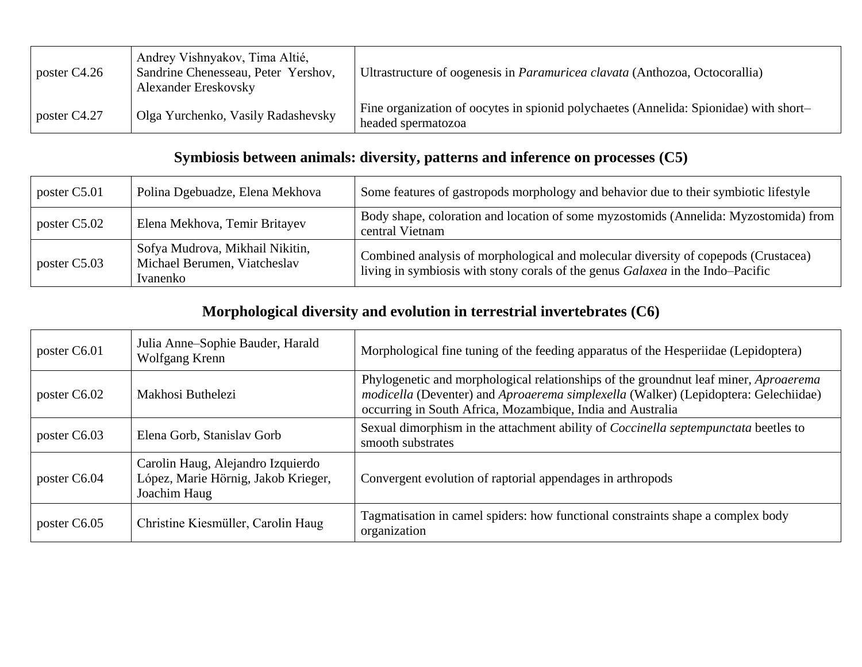| poster C4.26   | Andrey Vishnyakov, Tima Altié,<br>Sandrine Chenesseau, Peter Yershov,<br><b>Alexander Ereskovsky</b> | Ultrastructure of oogenesis in <i>Paramuricea clavata</i> (Anthozoa, Octocorallia)                          |
|----------------|------------------------------------------------------------------------------------------------------|-------------------------------------------------------------------------------------------------------------|
| poster $C4.27$ | Olga Yurchenko, Vasily Radashevsky                                                                   | Fine organization of oocytes in spionid polychaetes (Annelida: Spionidae) with short-<br>headed spermatozoa |

### **Symbiosis between animals: diversity, patterns and inference on processes (C5)**

| poster C5.01 | Polina Dgebuadze, Elena Mekhova                                             | Some features of gastropods morphology and behavior due to their symbiotic lifestyle                                                                                 |
|--------------|-----------------------------------------------------------------------------|----------------------------------------------------------------------------------------------------------------------------------------------------------------------|
| poster C5.02 | Elena Mekhova, Temir Britayev                                               | Body shape, coloration and location of some myzostomids (Annelida: Myzostomida) from<br>central Vietnam                                                              |
| poster C5.03 | Sofya Mudrova, Mikhail Nikitin,<br>Michael Berumen, Viatcheslav<br>Ivanenko | Combined analysis of morphological and molecular diversity of copepods (Crustacea)<br>living in symbiosis with stony corals of the genus Galaxea in the Indo-Pacific |

#### **Morphological diversity and evolution in terrestrial invertebrates (C6)**

| poster C6.01 | Julia Anne-Sophie Bauder, Harald<br>Wolfgang Krenn                                       | Morphological fine tuning of the feeding apparatus of the Hesperiidae (Lepidoptera)                                                                                                                                                              |
|--------------|------------------------------------------------------------------------------------------|--------------------------------------------------------------------------------------------------------------------------------------------------------------------------------------------------------------------------------------------------|
| poster C6.02 | Makhosi Buthelezi                                                                        | Phylogenetic and morphological relationships of the groundnut leaf miner, <i>Aproaerema</i><br>modicella (Deventer) and Aproaerema simplexella (Walker) (Lepidoptera: Gelechiidae)<br>occurring in South Africa, Mozambique, India and Australia |
| poster C6.03 | Elena Gorb, Stanislav Gorb                                                               | Sexual dimorphism in the attachment ability of <i>Coccinella septempunctata</i> beetles to<br>smooth substrates                                                                                                                                  |
| poster C6.04 | Carolin Haug, Alejandro Izquierdo<br>López, Marie Hörnig, Jakob Krieger,<br>Joachim Haug | Convergent evolution of raptorial appendages in arthropods                                                                                                                                                                                       |
| poster C6.05 | Christine Kiesmüller, Carolin Haug                                                       | Tagmatisation in camel spiders: how functional constraints shape a complex body<br>organization                                                                                                                                                  |